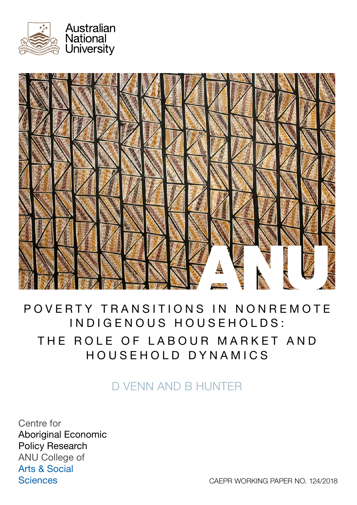



# POVERTY TRANSITIONS IN NONREMOTE INDIGENOUS HOUSEHOLDS: THE ROLE OF LABOUR MARKET AND HOUSEHOLD DYNAMICS

# D VENN AND B HUNTER

Centre for Aboriginal Economic Policy Research ANU College of Arts & Social **Sciences** 

CAEPR WORKING PAPER NO. 124/2018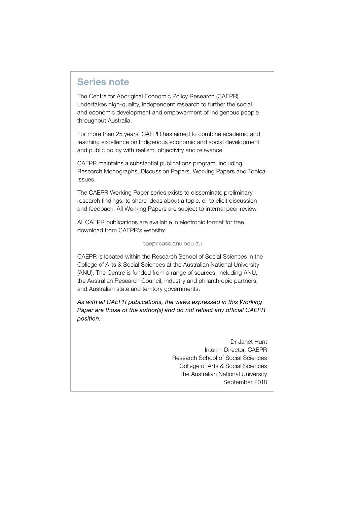## <span id="page-1-0"></span>Series note

The Centre for Aboriginal Economic Policy Research (CAEPR) undertakes high-quality, independent research to further the social and economic development and empowerment of Indigenous people throughout Australia.

For more than 25 years, CAEPR has aimed to combine academic and teaching excellence on Indigenous economic and social development and public policy with realism, objectivity and relevance.

CAEPR maintains a substantial publications program, including Research Monographs, Discussion Papers, Working Papers and Topical Issues.

The CAEPR Working Paper series exists to disseminate preliminary research findings, to share ideas about a topic, or to elicit discussion and feedback. All Working Papers are subject to internal peer review.

All CAEPR publications are available in electronic format for free download from CAEPR's website:

#### [caepr.cass.anu.edu.au](http://caepr.cass.anu.edu.au)

CAEPR is located within the Research School of Social Sciences in the College of Arts & Social Sciences at the Australian National University (ANU). The Centre is funded from a range of sources, including ANU, the Australian Research Council, industry and philanthropic partners, and Australian state and territory governments.

*As with all CAEPR publications, the views expressed in this Working Paper are those of the author(s) and do not reflect any official CAEPR position.*

> Dr Janet Hunt Interim Director, CAEPR Research School of Social Sciences College of Arts & Social Sciences The Australian National University September 2018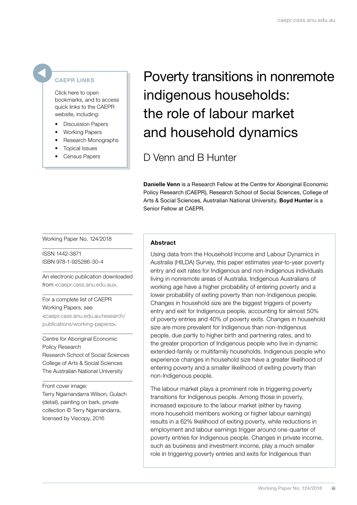#### <span id="page-2-0"></span>CAEPR LINKS

Click here to open bookmarks, and to access quick links to the CAEPR website, including:

- Discussion Papers
- Working Papers
- Research Monographs
- Topical Issues
- Census Papers

# Poverty transitions in nonremote indigenous households: the role of labour market and household dynamics

# D Venn and B Hunter

Danielle Venn is a Research Fellow at the Centre for Aboriginal Economic Policy Research (CAEPR), Research School of Social Sciences, College of Arts & Social Sciences, Australian National University. Boyd Hunter is a Senior Fellow at CAEPR.

Working Paper No. 124/2018

ISSN 1442-3871 ISBN 978-1-925286-30-4

An electronic publication downloaded from [<caepr.cass.anu.edu.au](http://caepr.cass.anu.edu.au)>.

For a complete list of CAEPR Working Papers, see [<caepr.cass.anu.edu.au/research/](http://caepr.cass.anu.edu.au/research/publications/working-papers) [publications/working-papers](http://caepr.cass.anu.edu.au/research/publications/working-papers)>.

Centre for Aboriginal Economic Policy Research Research School of Social Sciences College of Arts & Social Sciences The Australian National University

Front cover image: Terry Ngamandarra Wilson, Gulach (detail), painting on bark, private collection © Terry Ngamandarra, licensed by Viscopy, 2016

#### Abstract

Using data from the Household Income and Labour Dynamics in Australia (HILDA) Survey, this paper estimates year-to-year poverty entry and exit rates for Indigenous and non-Indigenous individuals living in nonremote areas of Australia. Indigenous Australians of working age have a higher probability of entering poverty and a lower probability of exiting poverty than non-Indigenous people. Changes in household size are the biggest triggers of poverty entry and exit for Indigenous people, accounting for almost 50% of poverty entries and 40% of poverty exits. Changes in household size are more prevalent for Indigenous than non-Indigenous people, due partly to higher birth and partnering rates, and to the greater proportion of Indigenous people who live in dynamic extended-family or multifamily households. Indigenous people who experience changes in household size have a greater likelihood of entering poverty and a smaller likelihood of exiting poverty than non-Indigenous people.

The labour market plays a prominent role in triggering poverty transitions for Indigenous people. Among those in poverty, increased exposure to the labour market (either by having more household members working or higher labour earnings) results in a 62% likelihood of exiting poverty, while reductions in employment and labour earnings trigger around one-quarter of poverty entries for Indigenous people. Changes in private income, such as business and investment income, play a much smaller role in triggering poverty entries and exits for Indigenous than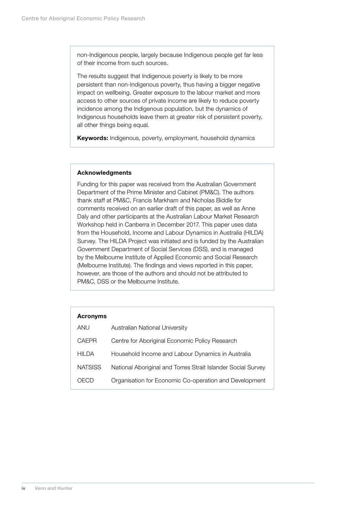<span id="page-3-0"></span>non-Indigenous people, largely because Indigenous people get far less of their income from such sources.

The results suggest that Indigenous poverty is likely to be more persistent than non-Indigenous poverty, thus having a bigger negative impact on wellbeing. Greater exposure to the labour market and more access to other sources of private income are likely to reduce poverty incidence among the Indigenous population, but the dynamics of Indigenous households leave them at greater risk of persistent poverty, all other things being equal.

Keywords: Indigenous, poverty, employment, household dynamics

#### Acknowledgments

Funding for this paper was received from the Australian Government Department of the Prime Minister and Cabinet (PM&C). The authors thank staff at PM&C, Francis Markham and Nicholas Biddle for comments received on an earlier draft of this paper, as well as Anne Daly and other participants at the Australian Labour Market Research Workshop held in Canberra in December 2017. This paper uses data from the Household, Income and Labour Dynamics in Australia (HILDA) Survey. The HILDA Project was initiated and is funded by the Australian Government Department of Social Services (DSS), and is managed by the Melbourne Institute of Applied Economic and Social Research (Melbourne Institute). The findings and views reported in this paper, however, are those of the authors and should not be attributed to PM&C, DSS or the Melbourne Institute.

| <b>Acronyms</b> |                                                              |
|-----------------|--------------------------------------------------------------|
| ANU             | Australian National University                               |
| <b>CAEPR</b>    | Centre for Aboriginal Economic Policy Research               |
| HII DA          | Household Income and Labour Dynamics in Australia            |
| <b>NATSISS</b>  | National Aboriginal and Torres Strait Islander Social Survey |
| H ( ) 1         | Organisation for Economic Co-operation and Development       |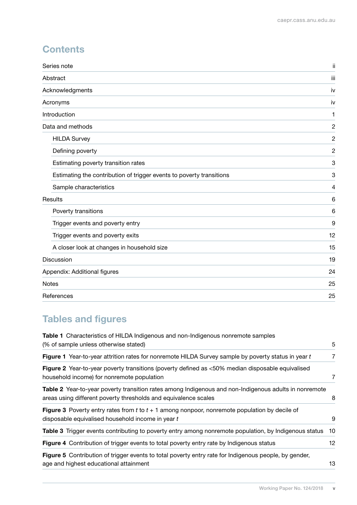# **Contents**

| Series note                                                          | ij             |
|----------------------------------------------------------------------|----------------|
| Abstract                                                             | iii            |
| Acknowledgments                                                      | iv             |
| Acronyms                                                             | iv             |
| Introduction                                                         | 1              |
| Data and methods                                                     | $\overline{c}$ |
| <b>HILDA Survey</b>                                                  | $\overline{c}$ |
| Defining poverty                                                     | $\overline{c}$ |
| Estimating poverty transition rates                                  | 3              |
| Estimating the contribution of trigger events to poverty transitions | 3              |
| Sample characteristics                                               | 4              |
| Results                                                              | 6              |
| Poverty transitions                                                  | 6              |
| Trigger events and poverty entry                                     | 9              |
| Trigger events and poverty exits                                     | 12             |
| A closer look at changes in household size                           | 15             |
| Discussion                                                           | 19             |
| Appendix: Additional figures                                         | 24             |
| <b>Notes</b>                                                         | 25             |
| References                                                           | 25             |

# Tables and figures

| <b>Table 1</b> Characteristics of HILDA Indigenous and non-Indigenous nonremote samples                                                                                  |    |
|--------------------------------------------------------------------------------------------------------------------------------------------------------------------------|----|
| (% of sample unless otherwise stated)                                                                                                                                    | 5  |
| Figure 1 Year-to-year attrition rates for nonremote HILDA Survey sample by poverty status in year t                                                                      | 7  |
| Figure 2 Year-to-year poverty transitions (poverty defined as <50% median disposable equivalised<br>household income) for nonremote population                           | 7  |
| Table 2 Year-to-year poverty transition rates among Indigenous and non-Indigenous adults in nonremote<br>areas using different poverty thresholds and equivalence scales | 8  |
| <b>Figure 3</b> Poverty entry rates from t to $t + 1$ among nonpoor, nonremote population by decile of<br>disposable equivalised household income in year t              | 9  |
| <b>Table 3</b> Trigger events contributing to poverty entry among nonremote population, by Indigenous status                                                             | 10 |
| Figure 4 Contribution of trigger events to total poverty entry rate by Indigenous status                                                                                 | 12 |
| Figure 5 Contribution of trigger events to total poverty entry rate for Indigenous people, by gender,<br>age and highest educational attainment                          | 13 |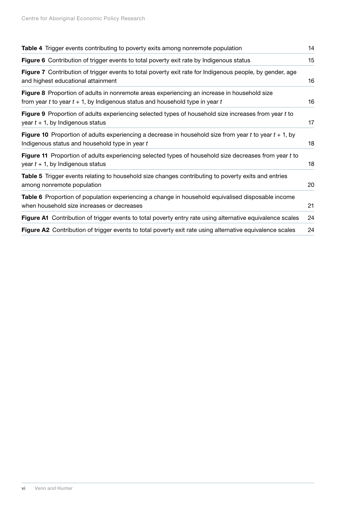| <b>Table 4</b> Trigger events contributing to poverty exits among nonremote population                                                                                             | 14 |
|------------------------------------------------------------------------------------------------------------------------------------------------------------------------------------|----|
| Figure 6 Contribution of trigger events to total poverty exit rate by Indigenous status                                                                                            | 15 |
| Figure 7 Contribution of trigger events to total poverty exit rate for Indigenous people, by gender, age<br>and highest educational attainment                                     | 16 |
| Figure 8 Proportion of adults in nonremote areas experiencing an increase in household size<br>from year $t$ to year $t + 1$ , by Indigenous status and household type in year $t$ | 16 |
| Figure 9 Proportion of adults experiencing selected types of household size increases from year t to<br>year $t + 1$ , by Indigenous status                                        | 17 |
| Figure 10 Proportion of adults experiencing a decrease in household size from year $t$ to year $t + 1$ , by<br>Indigenous status and household type in year t                      | 18 |
| Figure 11 Proportion of adults experiencing selected types of household size decreases from year t to<br>year $t + 1$ , by Indigenous status                                       | 18 |
| <b>Table 5</b> Trigger events relating to household size changes contributing to poverty exits and entries<br>among nonremote population                                           | 20 |
| Table 6 Proportion of population experiencing a change in household equivalised disposable income<br>when household size increases or decreases                                    | 21 |
| Figure A1 Contribution of trigger events to total poverty entry rate using alternative equivalence scales                                                                          | 24 |
| Figure A2 Contribution of trigger events to total poverty exit rate using alternative equivalence scales                                                                           | 24 |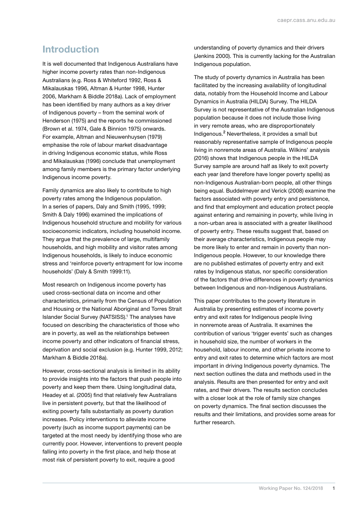# <span id="page-6-0"></span>Introduction

It is well documented that Indigenous Australians have higher income poverty rates than non-Indigenous Australians (e.g. Ross & Whiteford 1992, Ross & Mikalauskas 1996, Altman & Hunter 1998, Hunter 2006, Markham & Biddle 2018a). Lack of employment has been identified by many authors as a key driver of Indigenous poverty – from the seminal work of Henderson (1975) and the reports he commissioned (Brown et al. 1974, Gale & Binnion 1975) onwards. For example, Altman and Nieuwenhuysen (1979) emphasise the role of labour market disadvantage in driving Indigenous economic status, while Ross and Mikalauskas (1996) conclude that unemployment among family members is the primary factor underlying Indigenous income poverty.

Family dynamics are also likely to contribute to high poverty rates among the Indigenous population. In a series of papers, Daly and Smith (1995, 1999; Smith & Daly 1996) examined the implications of Indigenous household structure and mobility for various socioeconomic indicators, including household income. They argue that the prevalence of large, multifamily households, and high mobility and visitor rates among Indigenous households, is likely to induce economic stress and 'reinforce poverty entrapment for low income households' (Daly & Smith 1999:11).

Most research on Indigenous income poverty has used cross-sectional data on income and other characteristics, primarily from the Census of Population and Housing or the National Aboriginal and Torres Strait Islander Social Survey (NATSISS).1 The analyses have focused on describing the characteristics of those who are in poverty, as well as the relationships between income poverty and other indicators of financial stress, deprivation and social exclusion (e.g. Hunter 1999, 2012; Markham & Biddle 2018a).

However, cross-sectional analysis is limited in its ability to provide insights into the factors that push people into poverty and keep them there. Using longitudinal data, Headey et al. (2005) find that relatively few Australians live in persistent poverty, but that the likelihood of exiting poverty falls substantially as poverty duration increases. Policy interventions to alleviate income poverty (such as income support payments) can be targeted at the most needy by identifying those who are currently poor. However, interventions to prevent people falling into poverty in the first place, and help those at most risk of persistent poverty to exit, require a good

understanding of poverty dynamics and their drivers (Jenkins 2000). This is currently lacking for the Australian Indigenous population.

The study of poverty dynamics in Australia has been facilitated by the increasing availability of longitudinal data, notably from the Household Income and Labour Dynamics in Australia (HILDA) Survey. The HILDA Survey is not representative of the Australian Indigenous population because it does not include those living in very remote areas, who are disproportionately Indigenous.<sup>[2](#page-30-1)</sup> Nevertheless, it provides a small but reasonably representative sample of Indigenous people living in nonremote areas of Australia. Wilkins' analysis (2016) shows that Indigenous people in the HILDA Survey sample are around half as likely to exit poverty each year (and therefore have longer poverty spells) as non-Indigenous Australian-born people, all other things being equal. Buddelmeyer and Verick (2008) examine the factors associated with poverty entry and persistence, and find that employment and education protect people against entering and remaining in poverty, while living in a non-urban area is associated with a greater likelihood of poverty entry. These results suggest that, based on their average characteristics, Indigenous people may be more likely to enter and remain in poverty than non-Indigenous people. However, to our knowledge there are no published estimates of poverty entry and exit rates by Indigenous status, nor specific consideration of the factors that drive differences in poverty dynamics between Indigenous and non-Indigenous Australians.

This paper contributes to the poverty literature in Australia by presenting estimates of income poverty entry and exit rates for Indigenous people living in nonremote areas of Australia. It examines the contribution of various 'trigger events' such as changes in household size, the number of workers in the household, labour income, and other private income to entry and exit rates to determine which factors are most important in driving Indigenous poverty dynamics. The next section outlines the data and methods used in the analysis. Results are then presented for entry and exit rates, and their drivers. The results section concludes with a closer look at the role of family size changes on poverty dynamics. The final section discusses the results and their limitations, and provides some areas for further research.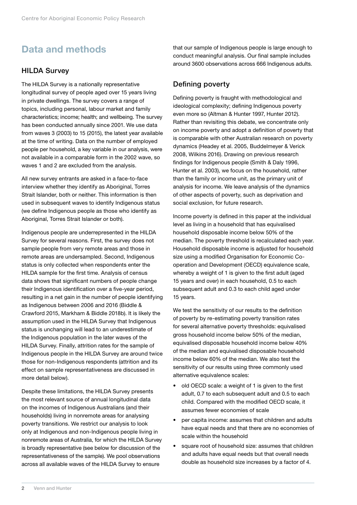# <span id="page-7-0"></span>Data and methods

#### HILDA Survey

The HILDA Survey is a nationally representative longitudinal survey of people aged over 15 years living in private dwellings. The survey covers a range of topics, including personal, labour market and family characteristics; income; health; and wellbeing. The survey has been conducted annually since 2001. We use data from waves 3 (2003) to 15 (2015), the latest year available at the time of writing. Data on the number of employed people per household, a key variable in our analysis, were not available in a comparable form in the 2002 wave, so waves 1 and 2 are excluded from the analysis.

All new survey entrants are asked in a face-to-face interview whether they identify as Aboriginal, Torres Strait Islander, both or neither. This information is then used in subsequent waves to identify Indigenous status (we define Indigenous people as those who identify as Aboriginal, Torres Strait Islander or both).

Indigenous people are underrepresented in the HILDA Survey for several reasons. First, the survey does not sample people from very remote areas and those in remote areas are undersampled. Second, Indigenous status is only collected when respondents enter the HILDA sample for the first time. Analysis of census data shows that significant numbers of people change their Indigenous identification over a five-year period, resulting in a net gain in the number of people identifying as Indigenous between 2006 and 2016 (Biddle & Crawford 2015, Markham & Biddle 2018b). It is likely the assumption used in the HILDA Survey that Indigenous status is unchanging will lead to an underestimate of the Indigenous population in the later waves of the HILDA Survey. Finally, attrition rates for the sample of Indigenous people in the HILDA Survey are around twice those for non-Indigenous respondents (attrition and its effect on sample representativeness are discussed in more detail below).

Despite these limitations, the HILDA Survey presents the most relevant source of annual longitudinal data on the incomes of Indigenous Australians (and their households) living in nonremote areas for analysing poverty transitions. We restrict our analysis to look only at Indigenous and non-Indigenous people living in nonremote areas of Australia, for which the HILDA Survey is broadly representative (see below for discussion of the representativeness of the sample). We pool observations across all available waves of the HILDA Survey to ensure

that our sample of Indigenous people is large enough to conduct meaningful analysis. Our final sample includes around 3600 observations across 666 Indigenous adults.

### Defining poverty

Defining poverty is fraught with methodological and ideological complexity; defining Indigenous poverty even more so (Altman & Hunter 1997, Hunter 2012). Rather than revisiting this debate, we concentrate only on income poverty and adopt a definition of poverty that is comparable with other Australian research on poverty dynamics (Headey et al. 2005, Buddelmeyer & Verick 2008, Wilkins 2016). Drawing on previous research findings for Indigenous people (Smith & Daly 1996, Hunter et al. 2003), we focus on the household, rather than the family or income unit, as the primary unit of analysis for income. We leave analysis of the dynamics of other aspects of poverty, such as deprivation and social exclusion, for future research.

Income poverty is defined in this paper at the individual level as living in a household that has equivalised household disposable income below 50% of the median. The poverty threshold is recalculated each year. Household disposable income is adjusted for household size using a modified Organisation for Economic Cooperation and Development (OECD) equivalence scale, whereby a weight of 1 is given to the first adult (aged 15 years and over) in each household, 0.5 to each subsequent adult and 0.3 to each child aged under 15 years.

We test the sensitivity of our results to the definition of poverty by re-estimating poverty transition rates for several alternative poverty thresholds: equivalised gross household income below 50% of the median, equivalised disposable household income below 40% of the median and equivalised disposable household income below 60% of the median. We also test the sensitivity of our results using three commonly used alternative equivalence scales:

- old OECD scale: a weight of 1 is given to the first adult, 0.7 to each subsequent adult and 0.5 to each child. Compared with the modified OECD scale, it assumes fewer economies of scale
- per capita income: assumes that children and adults have equal needs and that there are no economies of scale within the household
- square root of household size: assumes that children and adults have equal needs but that overall needs double as household size increases by a factor of 4.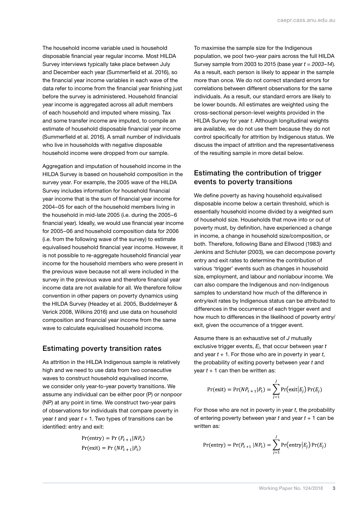<span id="page-8-0"></span>The household income variable used is household disposable financial year regular income. Most HILDA Survey interviews typically take place between July and December each year (Summerfield et al. 2016), so the financial year income variables in each wave of the data refer to income from the financial year finishing just before the survey is administered. Household financial year income is aggregated across all adult members of each household and imputed where missing. Tax and some transfer income are imputed, to compile an estimate of household disposable financial year income (Summerfield et al. 2016). A small number of individuals who live in households with negative disposable household income were dropped from our sample.

Aggregation and imputation of household income in the HILDA Survey is based on household composition in the survey year. For example, the 2005 wave of the HILDA Survey includes information for household financial year income that is the sum of financial year income for 2004–05 for each of the household members living in the household in mid-late 2005 (i.e. during the 2005–6 financial year). Ideally, we would use financial year income for 2005–06 and household composition data for 2006 (i.e. from the following wave of the survey) to estimate equivalised household financial year income. However, it is not possible to re-aggregate household financial year income for the household members who were present in the previous wave because not all were included in the survey in the previous wave and therefore financial year income data are not available for all. We therefore follow convention in other papers on poverty dynamics using the HILDA Survey (Headey et al. 2005, Buddelmeyer & Verick 2008, Wilkins 2016) and use data on household composition and financial year income from the same wave to calculate equivalised household income.

#### Estimating poverty transition rates

As attrition in the HILDA Indigenous sample is relatively high and we need to use data from two consecutive waves to construct household equivalised income. we consider only year-to-year poverty transitions. We assume any individual can be either poor (P) or nonpoor (NP) at any point in time. We construct two-year pairs of observations for individuals that compare poverty in year  $t$  and year  $t + 1$ . Two types of transitions can be identified: entry and exit:

$$
Pr(\text{entry}) = Pr(P_{t+1}|NP_t)
$$

$$
Pr(\text{exit}) = Pr(NP_{t+1}|P_t)
$$

To maximise the sample size for the Indigenous population, we pool two-year pairs across the full HILDA Survey sample from 2003 to 2015 (base year *t* = *2003–14*). As a result, each person is likely to appear in the sample more than once. We do not correct standard errors for correlations between different observations for the same individuals. As a result, our standard errors are likely to be lower bounds. All estimates are weighted using the cross-sectional person-level weights provided in the HILDA Survey for year *t*. Although longitudinal weights are available, we do not use them because they do not control specifically for attrition by Indigenous status. We discuss the impact of attrition and the representativeness of the resulting sample in more detail below.

### Estimating the contribution of trigger events to poverty transitions

We define poverty as having household equivalised disposable income below a certain threshold, which is essentially household income divided by a weighted sum of household size. Households that move into or out of poverty must, by definition, have experienced a change in income, a change in household size/composition, or both. Therefore, following Bane and Ellwood (1983) and Jenkins and Schluter (2003), we can decompose poverty entry and exit rates to determine the contribution of various 'trigger' events such as changes in household size, employment, and labour and nonlabour income. We can also compare the Indigenous and non-Indigenous samples to understand how much of the difference in entry/exit rates by Indigenous status can be attributed to differences in the occurrence of each trigger event and how much to differences in the likelihood of poverty entry/ exit, given the occurrence of a trigger event.

Assume there is an exhaustive set of *J* mutually exclusive trigger events, *Ej*, that occur between year *t* and year *t* + 1. For those who are in poverty in year *t*, the probability of exiting poverty between year *t* and year  $t + 1$  can then be written as:

$$
Pr(exit) = Pr(NP_{t+1}|P_t) = \sum_{j=1}^{J} Pr(exit|E_j) Pr(E_j)
$$

For those who are not in poverty in year *t*, the probability of entering poverty between year *t* and year *t* + 1 can be written as:

$$
Pr(\text{entry}) = Pr(P_{t+1} | NP_t) = \sum_{j=1}^{J} Pr(\text{entry} | E_j) Pr(E_j)
$$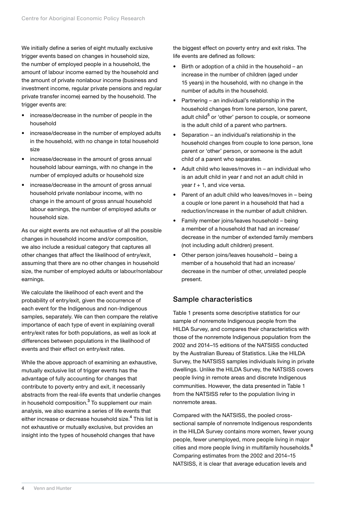<span id="page-9-0"></span>We initially define a series of eight mutually exclusive trigger events based on changes in household size, the number of employed people in a household, the amount of labour income earned by the household and the amount of private nonlabour income (business and investment income, regular private pensions and regular private transfer income) earned by the household. The trigger events are:

- increase/decrease in the number of people in the household
- increase/decrease in the number of employed adults in the household, with no change in total household size
- increase/decrease in the amount of gross annual household labour earnings, with no change in the number of employed adults or household size
- increase/decrease in the amount of gross annual household private nonlabour income, with no change in the amount of gross annual household labour earnings, the number of employed adults or household size.

As our eight events are not exhaustive of all the possible changes in household income and/or composition, we also include a residual category that captures all other changes that affect the likelihood of entry/exit, assuming that there are no other changes in household size, the number of employed adults or labour/nonlabour earnings.

We calculate the likelihood of each event and the probability of entry/exit, given the occurrence of each event for the Indigenous and non-Indigenous samples, separately. We can then compare the relative importance of each type of event in explaining overall entry/exit rates for both populations, as well as look at differences between populations in the likelihood of events and their effect on entry/exit rates.

While the above approach of examining an exhaustive, mutually exclusive list of trigger events has the advantage of fully accounting for changes that contribute to poverty entry and exit, it necessarily abstracts from the real-life events that underlie changes in household composition.<sup>[3](#page-30-2)</sup> To supplement our main analysis, we also examine a series of life events that either increase or decrease household size.<sup>[4](#page-30-3)</sup> This list is not exhaustive or mutually exclusive, but provides an insight into the types of household changes that have

the biggest effect on poverty entry and exit risks. The life events are defined as follows:

- Birth or adoption of a child in the household an increase in the number of children (aged under 15 years) in the household, with no change in the number of adults in the household.
- Partnering an individual's relationship in the household changes from lone person, lone parent, adult child<sup>[5](#page-30-4)</sup> or 'other' person to couple, or someone is the adult child of a parent who partners.
- Separation an individual's relationship in the household changes from couple to lone person, lone parent or 'other' person, or someone is the adult child of a parent who separates.
- Adult child who leaves/moves in an individual who is an adult child in year *t* and not an adult child in year *t* + 1, and vice versa.
- Parent of an adult child who leaves/moves in being a couple or lone parent in a household that had a reduction/increase in the number of adult children.
- Family member joins/leaves household being a member of a household that had an increase/ decrease in the number of extended family members (not including adult children) present.
- Other person joins/leaves household being a member of a household that had an increase/ decrease in the number of other, unrelated people present.

### Sample characteristics

Table 1 presents some descriptive statistics for our sample of nonremote Indigenous people from the HILDA Survey, and compares their characteristics with those of the nonremote Indigenous population from the 2002 and 2014–15 editions of the NATSISS conducted by the Australian Bureau of Statistics. Like the HILDA Survey, the NATSISS samples individuals living in private dwellings. Unlike the HILDA Survey, the NATSISS covers people living in remote areas and discrete Indigenous communities. However, the data presented in Table 1 from the NATSISS refer to the population living in nonremote areas.

Compared with the NATSISS, the pooled crosssectional sample of nonremote Indigenous respondents in the HILDA Survey contains more women, fewer young people, fewer unemployed, more people living in major cities and more people living in multifamily households.<sup>[6](#page-30-5)</sup> Comparing estimates from the 2002 and 2014–15 NATSISS, it is clear that average education levels and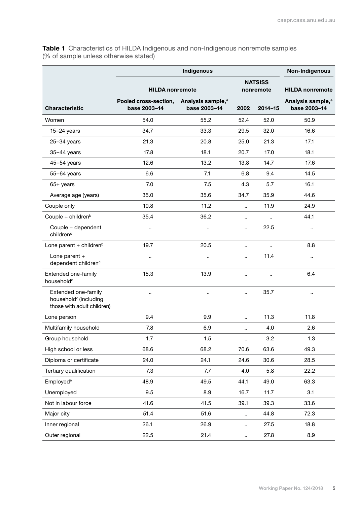<span id="page-10-0"></span>Table 1 Characteristics of HILDA Indigenous and non-Indigenous nonremote samples (% of sample unless otherwise stated)

|                                                                                        |                                       |                                               | Non-Indigenous       |                             |                                               |
|----------------------------------------------------------------------------------------|---------------------------------------|-----------------------------------------------|----------------------|-----------------------------|-----------------------------------------------|
|                                                                                        | <b>HILDA</b> nonremote                |                                               |                      | <b>NATSISS</b><br>nonremote | <b>HILDA</b> nonremote                        |
| <b>Characteristic</b>                                                                  | Pooled cross-section,<br>base 2003-14 | Analysis sample, <sup>a</sup><br>base 2003-14 | 2002                 | $2014 - 15$                 | Analysis sample, <sup>a</sup><br>base 2003-14 |
| Women                                                                                  | 54.0                                  | 55.2                                          | 52.4                 | 52.0                        | 50.9                                          |
| $15-24$ years                                                                          | 34.7                                  | 33.3                                          | 29.5                 | 32.0                        | 16.6                                          |
| $25-34$ years                                                                          | 21.3                                  | 20.8                                          | 25.0                 | 21.3                        | 17.1                                          |
| $35-44$ years                                                                          | 17.8                                  | 18.1                                          | 20.7                 | 17.0                        | 18.1                                          |
| $45-54$ years                                                                          | 12.6                                  | 13.2                                          | 13.8                 | 14.7                        | 17.6                                          |
| 55-64 years                                                                            | 6.6                                   | 7.1                                           | 6.8                  | 9.4                         | 14.5                                          |
| $65+$ years                                                                            | 7.0                                   | 7.5                                           | 4.3                  | 5.7                         | 16.1                                          |
| Average age (years)                                                                    | 35.0                                  | 35.6                                          | 34.7                 | 35.9                        | 44.6                                          |
| Couple only                                                                            | 10.8                                  | 11.2                                          | ä,                   | 11.9                        | 24.9                                          |
| Couple + children <sup>b</sup>                                                         | 35.4                                  | 36.2                                          | $\ddotsc$            | ä,                          | 44.1                                          |
| Couple + dependent<br>children <sup>c</sup>                                            |                                       |                                               | $\ddot{\phantom{0}}$ | 22.5                        | $\ldots$                                      |
| Lone parent + children <sup>b</sup>                                                    | 19.7                                  | 20.5                                          | Ω,                   | $\ddot{\phantom{a}}$        | 8.8                                           |
| Lone parent +<br>dependent children <sup>c</sup>                                       | ٠.                                    |                                               | $\ddot{\phantom{a}}$ | 11.4                        |                                               |
| Extended one-family<br>household <sup>d</sup>                                          | 15.3                                  | 13.9                                          | $\ddot{\phantom{a}}$ | .,                          | 6.4                                           |
| Extended one-family<br>household <sup>c</sup> (including<br>those with adult children) | ٠.                                    | $\ddotsc$                                     | $\ddot{\phantom{a}}$ | 35.7                        |                                               |
| Lone person                                                                            | 9.4                                   | 9.9                                           | $\ddot{\phantom{a}}$ | 11.3                        | 11.8                                          |
| Multifamily household                                                                  | 7.8                                   | 6.9                                           | $\ddot{\phantom{0}}$ | 4.0                         | 2.6                                           |
| Group household                                                                        | 1.7                                   | 1.5                                           | .,                   | 3.2                         | 1.3                                           |
| High school or less                                                                    | 68.6                                  | 68.2                                          | 70.6                 | 63.6                        | 49.3                                          |
| Diploma or certificate                                                                 | 24.0                                  | 24.1                                          | 24.6                 | 30.6                        | 28.5                                          |
| Tertiary qualification                                                                 | 7.3                                   | 7.7                                           | 4.0                  | 5.8                         | 22.2                                          |
| Employed <sup>e</sup>                                                                  | 48.9                                  | 49.5                                          | 44.1                 | 49.0                        | 63.3                                          |
| Unemployed                                                                             | 9.5                                   | 8.9                                           | 16.7                 | 11.7                        | 3.1                                           |
| Not in labour force                                                                    | 41.6                                  | 41.5                                          | 39.1                 | 39.3                        | 33.6                                          |
| Major city                                                                             | 51.4                                  | 51.6                                          | Ω.                   | 44.8                        | 72.3                                          |
| Inner regional                                                                         | 26.1                                  | 26.9                                          | ٠.                   | 27.5                        | 18.8                                          |
| Outer regional                                                                         | 22.5                                  | 21.4                                          | ٠.                   | 27.8                        | 8.9                                           |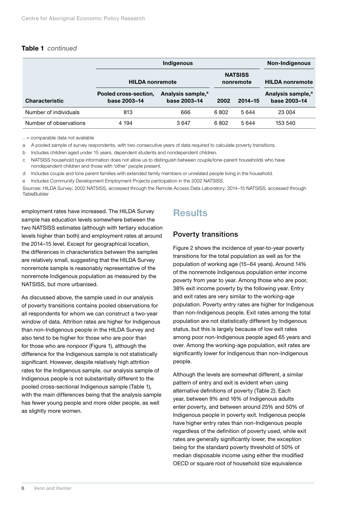#### <span id="page-11-0"></span>Table 1 *continued*

|                        |                                       | <b>Non-Indigenous</b>                         |      |                             |                                               |  |
|------------------------|---------------------------------------|-----------------------------------------------|------|-----------------------------|-----------------------------------------------|--|
|                        | <b>HILDA</b> nonremote                |                                               |      | <b>NATSISS</b><br>nonremote | <b>HILDA</b> nonremote                        |  |
| <b>Characteristic</b>  | Pooled cross-section,<br>base 2003-14 | Analysis sample, <sup>a</sup><br>base 2003-14 | 2002 | $2014 - 15$                 | Analysis sample, <sup>a</sup><br>base 2003-14 |  |
| Number of individuals  | 813                                   | 666                                           | 6802 | 5 644                       | 23 004                                        |  |
| Number of observations | 4 1 9 4                               | 3647                                          | 6802 | 5 644                       | 153 540                                       |  |

.. = comparable data not available

a A pooled sample of survey respondents, with two consecutive years of data required to calculate poverty transitions.

b Includes children aged under 15 years, dependent students and nondependent children.

c NATSISS household type information does not allow us to distinguish between couple/lone-parent households who have nondependent children and those with 'other' people present.

d Includes couple and lone parent families with extended family members or unrelated people living in the household.

e Includes Community Development Employment Projects participation in the 2002 NATSISS.

Sources: HILDA Survey; 2002 NATSISS, accessed through the Remote Access Data Laboratory; 2014–15 NATSISS, accessed through **TableBuilder** 

employment rates have increased. The HILDA Survey sample has education levels somewhere between the two NATSISS estimates (although with tertiary education levels higher than both) and employment rates at around the 2014–15 level. Except for geographical location, the differences in characteristics between the samples are relatively small, suggesting that the HILDA Survey nonremote sample is reasonably representative of the nonremote Indigenous population as measured by the NATSISS, but more urbanised.

As discussed above, the sample used in our analysis of poverty transitions contains pooled observations for all respondents for whom we can construct a two-year window of data. Attrition rates are higher for Indigenous than non-Indigenous people in the HILDA Survey and also tend to be higher for those who are poor than for those who are nonpoor (Figure 1), although the difference for the Indigenous sample is not statistically significant. However, despite relatively high attrition rates for the Indigenous sample, our analysis sample of Indigenous people is not substantially different to the pooled cross-sectional Indigenous sample (Table 1), with the main differences being that the analysis sample has fewer young people and more older people, as well as slightly more women.

# **Results**

### Poverty transitions

Figure 2 shows the incidence of year-to-year poverty transitions for the total population as well as for the population of working age (15–64 years). Around 14% of the nonremote Indigenous population enter income poverty from year to year. Among those who are poor, 38% exit income poverty by the following year. Entry and exit rates are very similar to the working-age population. Poverty entry rates are higher for Indigenous than non-Indigenous people. Exit rates among the total population are not statistically different by Indigenous status, but this is largely because of low exit rates among poor non-Indigenous people aged 65 years and over. Among the working-age population, exit rates are significantly lower for Indigenous than non-Indigenous people.

Although the levels are somewhat different, a similar pattern of entry and exit is evident when using alternative definitions of poverty (Table 2). Each year, between 9% and 16% of Indigenous adults enter poverty, and between around 25% and 50% of Indigenous people in poverty exit. Indigenous people have higher entry rates than non-Indigenous people regardless of the definition of poverty used, while exit rates are generally significantly lower, the exception being for the standard poverty threshold of 50% of median disposable income using either the modified OECD or square root of household size equivalence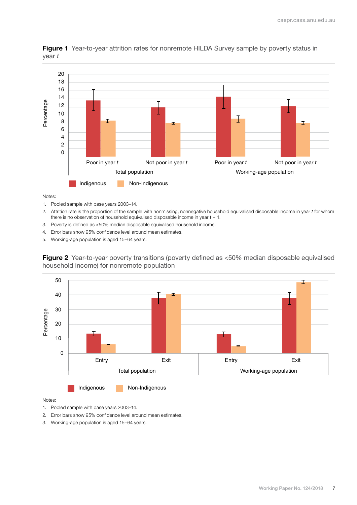

<span id="page-12-0"></span>**Figure 1** Year-to-year attrition rates for nonremote HILDA Survey sample by poverty status in year *t*

Notes:

- 1. Pooled sample with base years 2003–14.
- 2. Attrition rate is the proportion of the sample with nonmissing, nonnegative household equivalised disposable income in year *t* for whom there is no observation of household equivalised disposable income in year *t* + 1.
- 3. Poverty is defined as <50% median disposable equivalised household income.
- 4. Error bars show 95% confidence level around mean estimates.
- 5. Working-age population is aged 15–64 years.

Figure 2 Year-to-year poverty transitions (poverty defined as <50% median disposable equivalised household income) for nonremote population



Notes:

1. Pooled sample with base years 2003–14.

2. Error bars show 95% confidence level around mean estimates.

3. Working-age population is aged 15–64 years.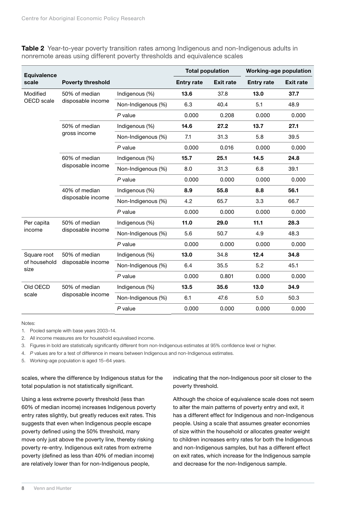<span id="page-13-0"></span>**Table 2** Year-to-year poverty transition rates among Indigenous and non-Indigenous adults in nonremote areas using different poverty thresholds and equivalence scales

| <b>Equivalence</b>   |                                    |                    | <b>Total population</b> |                  | <b>Working-age population</b> |                  |  |
|----------------------|------------------------------------|--------------------|-------------------------|------------------|-------------------------------|------------------|--|
| scale                | <b>Poverty threshold</b>           |                    | <b>Entry rate</b>       | <b>Exit rate</b> | <b>Entry rate</b>             | <b>Exit rate</b> |  |
| Modified             | 50% of median                      | Indigenous (%)     | 13.6                    | 37.8             | 13.0                          | 37.7             |  |
| OECD scale           | disposable income                  | Non-Indigenous (%) | 6.3                     | 40.4             | 5.1                           | 48.9             |  |
|                      |                                    | $P$ value          | 0.000                   | 0.208            | 0.000                         | 0.000            |  |
|                      | 50% of median                      | Indigenous (%)     | 14.6                    | 27.2             | 13.7                          | 27.1             |  |
|                      | gross income                       | Non-Indigenous (%) | 7.1                     | 31.3             | 5.8                           | 39.5             |  |
|                      |                                    | $P$ value          | 0.000                   | 0.016            | 0.000                         | 0.000            |  |
|                      | 60% of median<br>disposable income | Indigenous (%)     | 15.7                    | 25.1             | 14.5                          | 24.8             |  |
|                      |                                    | Non-Indigenous (%) | 8.0                     | 31.3             | 6.8                           | 39.1             |  |
|                      |                                    | $P$ value          | 0.000                   | 0.000            | 0.000                         | 0.000            |  |
|                      | 40% of median<br>disposable income | Indigenous (%)     | 8.9                     | 55.8             | 8.8                           | 56.1             |  |
|                      |                                    | Non-Indigenous (%) | 4.2                     | 65.7             | 3.3                           | 66.7             |  |
|                      |                                    | $P$ value          | 0.000                   | 0.000            | 0.000                         | 0.000            |  |
| Per capita           | 50% of median<br>disposable income | Indigenous (%)     | 11.0                    | 29.0             | 11.1                          | 28.3             |  |
| income               |                                    | Non-Indigenous (%) | 5.6                     | 50.7             | 4.9                           | 48.3             |  |
|                      |                                    | $P$ value          | 0.000                   | 0.000            | 0.000                         | 0.000            |  |
| Square root          | 50% of median                      | Indigenous (%)     | 13.0                    | 34.8             | 12.4                          | 34.8             |  |
| of household<br>size | disposable income                  | Non-Indigenous (%) | 6.4                     | 35.5             | 5.2                           | 45.1             |  |
|                      |                                    | $P$ value          | 0.000                   | 0.801            | 0.000                         | 0.000            |  |
| Old OECD             | 50% of median                      | Indigenous (%)     | 13.5                    | 35.6             | 13.0                          | 34.9             |  |
| scale                | disposable income                  | Non-Indigenous (%) | 6.1                     | 47.6             | 5.0                           | 50.3             |  |
|                      |                                    | P value            | 0.000                   | 0.000            | 0.000                         | 0.000            |  |

Notes:

1. Pooled sample with base years 2003–14.

2. All income measures are for household equivalised income.

3. Figures in bold are statistically significantly different from non-Indigenous estimates at 95% confidence level or higher.

4. *P* values are for a test of difference in means between Indigenous and non-Indigenous estimates.

5. Working-age population is aged 15–64 years.

scales, where the difference by Indigenous status for the total population is not statistically significant.

Using a less extreme poverty threshold (less than 60% of median income) increases Indigenous poverty entry rates slightly, but greatly reduces exit rates. This suggests that even when Indigenous people escape poverty defined using the 50% threshold, many move only just above the poverty line, thereby risking poverty re-entry. Indigenous exit rates from extreme poverty (defined as less than 40% of median income) are relatively lower than for non-Indigenous people,

indicating that the non-Indigenous poor sit closer to the poverty threshold.

Although the choice of equivalence scale does not seem to alter the main patterns of poverty entry and exit, it has a different effect for Indigenous and non-Indigenous people. Using a scale that assumes greater economies of size within the household or allocates greater weight to children increases entry rates for both the Indigenous and non-Indigenous samples, but has a different effect on exit rates, which increase for the Indigenous sample and decrease for the non-Indigenous sample.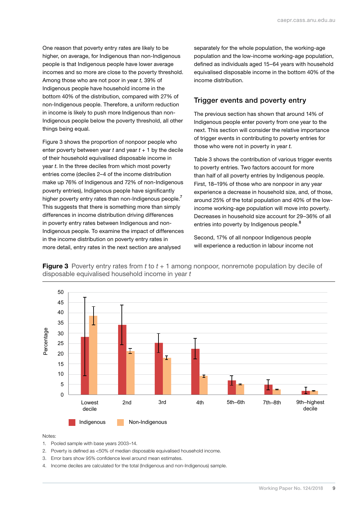<span id="page-14-0"></span>One reason that poverty entry rates are likely to be higher, on average, for Indigenous than non-Indigenous people is that Indigenous people have lower average incomes and so more are close to the poverty threshold. Among those who are not poor in year *t*, 39% of Indigenous people have household income in the bottom 40% of the distribution, compared with 27% of non-Indigenous people. Therefore, a uniform reduction in income is likely to push more Indigenous than non-Indigenous people below the poverty threshold, all other things being equal.

Figure 3 shows the proportion of nonpoor people who enter poverty between year  $t$  and year  $t + 1$  by the decile of their household equivalised disposable income in year *t*. In the three deciles from which most poverty entries come (deciles 2–4 of the income distribution make up 76% of Indigenous and 72% of non-Indigenous poverty entries), Indigenous people have significantly higher poverty entry rates than non-Indigenous people.<sup>[7](#page-30-6)</sup> This suggests that there is something more than simply differences in income distribution driving differences in poverty entry rates between Indigenous and non-Indigenous people. To examine the impact of differences in the income distribution on poverty entry rates in more detail, entry rates in the next section are analysed

separately for the whole population, the working-age population and the low-income working-age population, defined as individuals aged 15–64 years with household equivalised disposable income in the bottom 40% of the income distribution.

### Trigger events and poverty entry

The previous section has shown that around 14% of Indigenous people enter poverty from one year to the next. This section will consider the relative importance of trigger events in contributing to poverty entries for those who were not in poverty in year *t*.

Table 3 shows the contribution of various trigger events to poverty entries. Two factors account for more than half of all poverty entries by Indigenous people. First, 18–19% of those who are nonpoor in any year experience a decrease in household size, and, of those, around 25% of the total population and 40% of the lowincome working-age population will move into poverty. Decreases in household size account for 29–36% of all entries into poverty by Indigenous people.<sup>[8](#page-30-7)</sup>

Second, 17% of all nonpoor Indigenous people will experience a reduction in labour income not



Figure 3 Poverty entry rates from *t* to *t* + 1 among nonpoor, nonremote population by decile of disposable equivalised household income in year *t*

#### Notes:

- 1. Pooled sample with base years 2003–14.
- 2. Poverty is defined as <50% of median disposable equivalised household income.
- 3. Error bars show 95% confidence level around mean estimates.
- 4. Income deciles are calculated for the total (Indigenous and non-Indigenous) sample.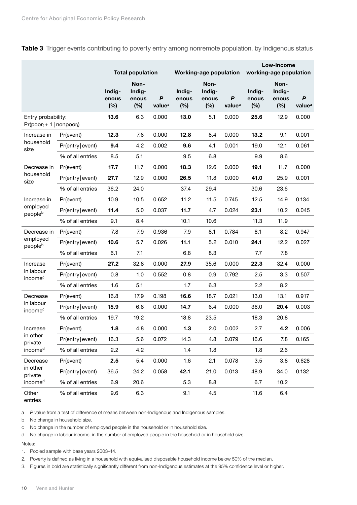|                                                    |                   | <b>Total population</b> |                                |                                        | <b>Working-age population</b> |                                |                         | Low-income<br>working-age population |                                |                         |
|----------------------------------------------------|-------------------|-------------------------|--------------------------------|----------------------------------------|-------------------------------|--------------------------------|-------------------------|--------------------------------------|--------------------------------|-------------------------|
|                                                    |                   | Indig-<br>enous<br>(%)  | Non-<br>Indig-<br>enous<br>(%) | $\boldsymbol{P}$<br>value <sup>a</sup> | Indig-<br>enous<br>(%)        | Non-<br>Indig-<br>enous<br>(%) | P<br>value <sup>a</sup> | Indig-<br>enous<br>(%)               | Non-<br>Indig-<br>enous<br>(%) | P<br>value <sup>a</sup> |
| Entry probability:<br>$Pr(poor_t + 1   nonpoor_t)$ |                   | 13.6                    | 6.3                            | 0.000                                  | 13.0                          | 5.1                            | 0.000                   | 25.6                                 | 12.9                           | 0.000                   |
| Increase in                                        | Pr(event)         | 12.3                    | 7.6                            | 0.000                                  | 12.8                          | 8.4                            | 0.000                   | 13.2                                 | 9.1                            | 0.001                   |
| household<br>size                                  | Pr(entry   event) | 9.4                     | 4.2                            | 0.002                                  | 9.6                           | 4.1                            | 0.001                   | 19.0                                 | 12.1                           | 0.061                   |
|                                                    | % of all entries  | 8.5                     | 5.1                            |                                        | 9.5                           | 6.8                            |                         | 9.9                                  | 8.6                            |                         |
| Decrease in                                        | Pr(event)         | 17.7                    | 11.7                           | 0.000                                  | 18.3                          | 12.6                           | 0.000                   | 19.1                                 | 11.7                           | 0.000                   |
| household<br>size                                  | Pr(entry   event) | 27.7                    | 12.9                           | 0.000                                  | 26.5                          | 11.8                           | 0.000                   | 41.0                                 | 25.9                           | 0.001                   |
|                                                    | % of all entries  | 36.2                    | 24.0                           |                                        | 37.4                          | 29.4                           |                         | 30.6                                 | 23.6                           |                         |
| Increase in<br>employed<br>peopleb                 | Pr(event)         | 10.9                    | 10.5                           | 0.652                                  | 11.2                          | 11.5                           | 0.745                   | 12.5                                 | 14.9                           | 0.134                   |
|                                                    | Pr(entry event)   | 11.4                    | 5.0                            | 0.037                                  | 11.7                          | 4.7                            | 0.024                   | 23.1                                 | 10.2                           | 0.045                   |
|                                                    | % of all entries  | 9.1                     | 8.4                            |                                        | 10.1                          | 10.6                           |                         | 11.3                                 | 11.9                           |                         |
| Decrease in                                        | Pr(event)         | 7.8                     | 7.9                            | 0.936                                  | 7.9                           | 8.1                            | 0.784                   | 8.1                                  | 8.2                            | 0.947                   |
| employed<br>peopleb                                | Pr(entry event)   | 10.6                    | 5.7                            | 0.026                                  | 11.1                          | 5.2                            | 0.010                   | 24.1                                 | 12.2                           | 0.027                   |
|                                                    | % of all entries  | 6.1                     | 7.1                            |                                        | 6.8                           | 8.3                            |                         | 7.7                                  | 7.8                            |                         |
| Increase                                           | Pr(event)         | 27.2                    | 32.8                           | 0.000                                  | 27.9                          | 35.6                           | 0.000                   | 22.3                                 | 32.4                           | 0.000                   |
| in labour<br>income <sup>c</sup>                   | Pr(entry event)   | 0.8                     | 1.0                            | 0.552                                  | 0.8                           | 0.9                            | 0.792                   | 2.5                                  | 3.3                            | 0.507                   |
|                                                    | % of all entries  | 1.6                     | 5.1                            |                                        | 1.7                           | 6.3                            |                         | 2.2                                  | 8.2                            |                         |
| Decrease                                           | Pr(event)         | 16.8                    | 17.9                           | 0.198                                  | 16.6                          | 18.7                           | 0.021                   | 13.0                                 | 13.1                           | 0.917                   |
| in labour<br>income <sup>c</sup>                   | Pr(entry event)   | 15.9                    | 6.8                            | 0.000                                  | 14.7                          | 6.4                            | 0.000                   | 36.0                                 | 20.4                           | 0.003                   |
|                                                    | % of all entries  | 19.7                    | 19.2                           |                                        | 18.8                          | 23.5                           |                         | 18.3                                 | 20.8                           |                         |
| Increase                                           | Pr(event)         | 1.8                     | 4.8                            | 0.000                                  | 1.3                           | 2.0                            | 0.002                   | 2.7                                  | 4.2                            | 0.006                   |
| in other<br>private                                | Pr(entry   event) | 16.3                    | 5.6                            | 0.072                                  | 14.3                          | 4.8                            | 0.079                   | 16.6                                 | 7.8                            | 0.165                   |
| incomed                                            | % of all entries  | 2.2                     | 4.2                            |                                        | 1.4                           | 1.8                            |                         | 1.8                                  | 2.6                            |                         |
| Decrease                                           | Pr(event)         | 2.5                     | 5.4                            | 0.000                                  | 1.6                           | 2.1                            | 0.078                   | 3.5                                  | 3.8                            | 0.628                   |
| in other<br>private                                | Pr(entry   event) | 36.5                    | 24.2                           | 0.058                                  | 42.1                          | 21.0                           | 0.013                   | 48.9                                 | 34.0                           | 0.132                   |
| incomed                                            | % of all entries  | 6.9                     | 20.6                           |                                        | 5.3                           | 8.8                            |                         | 6.7                                  | 10.2                           |                         |
| Other<br>entries                                   | % of all entries  | 9.6                     | 6.3                            |                                        | 9.1                           | 4.5                            |                         | 11.6                                 | 6.4                            |                         |

<span id="page-15-0"></span>Table 3 Trigger events contributing to poverty entry among nonremote population, by Indigenous status

a *P* value from a test of difference of means between non-Indigenous and Indigenous samples.

b No change in household size.

c No change in the number of employed people in the household or in household size.

d No change in labour income, in the number of employed people in the household or in household size.

Notes:

1. Pooled sample with base years 2003–14.

2. Poverty is defined as living in a household with equivalised disposable household income below 50% of the median.

3. Figures in bold are statistically significantly different from non-Indigenous estimates at the 95% confidence level or higher.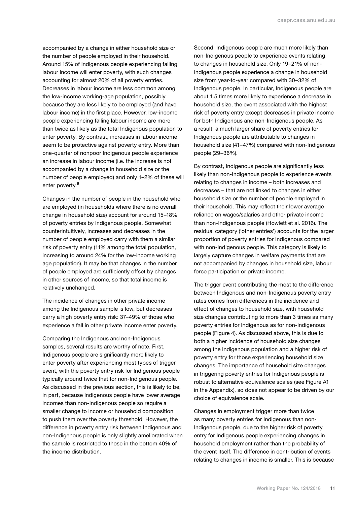accompanied by a change in either household size or the number of people employed in their household. Around 15% of Indigenous people experiencing falling labour income will enter poverty, with such changes accounting for almost 20% of all poverty entries. Decreases in labour income are less common among the low-income working-age population, possibly because they are less likely to be employed (and have labour income) in the first place. However, low-income people experiencing falling labour income are more than twice as likely as the total Indigenous population to enter poverty. By contrast, increases in labour income seem to be protective against poverty entry. More than one-quarter of nonpoor Indigenous people experience an increase in labour income (i.e. the increase is not accompanied by a change in household size or the number of people employed) and only 1–2% of these will enter poverty.<sup>[9](#page-30-8)</sup>

Changes in the number of people in the household who are employed (in households where there is no overall change in household size) account for around 15–18% of poverty entries by Indigenous people. Somewhat counterintuitively, increases and decreases in the number of people employed carry with them a similar risk of poverty entry (11% among the total population, increasing to around 24% for the low-income working age population). It may be that changes in the number of people employed are sufficiently offset by changes in other sources of income, so that total income is relatively unchanged.

The incidence of changes in other private income among the Indigenous sample is low, but decreases carry a high poverty entry risk: 37–49% of those who experience a fall in other private income enter poverty.

Comparing the Indigenous and non-Indigenous samples, several results are worthy of note. First, Indigenous people are significantly more likely to enter poverty after experiencing most types of trigger event, with the poverty entry risk for Indigenous people typically around twice that for non-Indigenous people. As discussed in the previous section, this is likely to be, in part, because Indigenous people have lower average incomes than non-Indigenous people so require a smaller change to income or household composition to push them over the poverty threshold. However, the difference in poverty entry risk between Indigenous and non-Indigenous people is only slightly ameliorated when the sample is restricted to those in the bottom 40% of the income distribution.

Second, Indigenous people are much more likely than non-Indigenous people to experience events relating to changes in household size. Only 19–21% of non-Indigenous people experience a change in household size from year-to-year compared with 30–32% of Indigenous people. In particular, Indigenous people are about 1.5 times more likely to experience a decrease in household size, the event associated with the highest risk of poverty entry except decreases in private income for both Indigenous and non-Indigenous people. As a result, a much larger share of poverty entries for Indigenous people are attributable to changes in household size (41–47%) compared with non-Indigenous people (29–36%).

By contrast, Indigenous people are significantly less likely than non-Indigenous people to experience events relating to changes in income – both increases and decreases – that are not linked to changes in either household size or the number of people employed in their household. This may reflect their lower average reliance on wages/salaries and other private income than non-Indigenous people (Howlett et al. 2016). The residual category ('other entries') accounts for the larger proportion of poverty entries for Indigenous compared with non-Indigenous people. This category is likely to largely capture changes in welfare payments that are not accompanied by changes in household size, labour force participation or private income.

The trigger event contributing the most to the difference between Indigenous and non-Indigenous poverty entry rates comes from differences in the incidence and effect of changes to household size, with household size changes contributing to more than 3 times as many poverty entries for Indigenous as for non-Indigenous people (Figure 4). As discussed above, this is due to both a higher incidence of household size changes among the Indigenous population and a higher risk of poverty entry for those experiencing household size changes. The importance of household size changes in triggering poverty entries for Indigenous people is robust to alternative equivalence scales (see Figure A1 in the Appendix), so does not appear to be driven by our choice of equivalence scale.

Changes in employment trigger more than twice as many poverty entries for Indigenous than non-Indigenous people, due to the higher risk of poverty entry for Indigenous people experiencing changes in household employment rather than the probability of the event itself. The difference in contribution of events relating to changes in income is smaller. This is because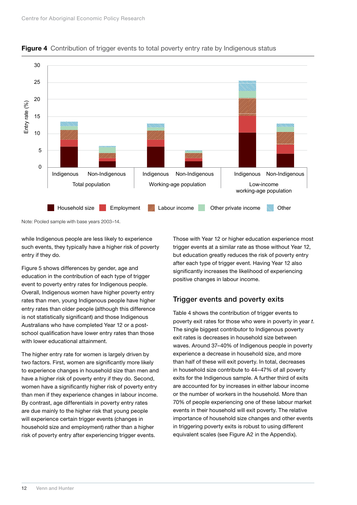

<span id="page-17-0"></span>

Note: Pooled sample with base years 2003–14.

while Indigenous people are less likely to experience such events, they typically have a higher risk of poverty entry if they do.

Figure 5 shows differences by gender, age and education in the contribution of each type of trigger event to poverty entry rates for Indigenous people. Overall, Indigenous women have higher poverty entry rates than men, young Indigenous people have higher entry rates than older people (although this difference is not statistically significant) and those Indigenous Australians who have completed Year 12 or a postschool qualification have lower entry rates than those with lower educational attainment.

The higher entry rate for women is largely driven by two factors. First, women are significantly more likely to experience changes in household size than men and have a higher risk of poverty entry if they do. Second, women have a significantly higher risk of poverty entry than men if they experience changes in labour income. By contrast, age differentials in poverty entry rates are due mainly to the higher risk that young people will experience certain trigger events (changes in household size and employment) rather than a higher risk of poverty entry after experiencing trigger events.

Those with Year 12 or higher education experience most trigger events at a similar rate as those without Year 12, but education greatly reduces the risk of poverty entry after each type of trigger event. Having Year 12 also significantly increases the likelihood of experiencing positive changes in labour income.

### Trigger events and poverty exits

Table 4 shows the contribution of trigger events to poverty exit rates for those who were in poverty in year *t*. The single biggest contributor to Indigenous poverty exit rates is decreases in household size between waves. Around 37–40% of Indigenous people in poverty experience a decrease in household size, and more than half of these will exit poverty. In total, decreases in household size contribute to 44–47% of all poverty exits for the Indigenous sample. A further third of exits are accounted for by increases in either labour income or the number of workers in the household. More than 70% of people experiencing one of these labour market events in their household will exit poverty. The relative importance of household size changes and other events in triggering poverty exits is robust to using different equivalent scales (see Figure A2 in the Appendix).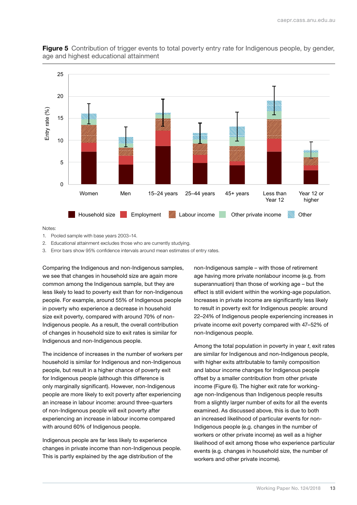

<span id="page-18-0"></span>**Figure 5** Contribution of trigger events to total poverty entry rate for Indigenous people, by gender, age and highest educational attainment

Notes:

1. Pooled sample with base years 2003–14.

2. Educational attainment excludes those who are currently studying.

3. Error bars show 95% confidence intervals around mean estimates of entry rates.

Comparing the Indigenous and non-Indigenous samples, we see that changes in household size are again more common among the Indigenous sample, but they are less likely to lead to poverty exit than for non-Indigenous people. For example, around 55% of Indigenous people in poverty who experience a decrease in household size exit poverty, compared with around 70% of non-Indigenous people. As a result, the overall contribution of changes in household size to exit rates is similar for Indigenous and non-Indigenous people.

The incidence of increases in the number of workers per household is similar for Indigenous and non-Indigenous people, but result in a higher chance of poverty exit for Indigenous people (although this difference is only marginally significant). However, non-Indigenous people are more likely to exit poverty after experiencing an increase in labour income: around three-quarters of non-Indigenous people will exit poverty after experiencing an increase in labour income compared with around 60% of Indigenous people.

Indigenous people are far less likely to experience changes in private income than non-Indigenous people. This is partly explained by the age distribution of the

non-Indigenous sample – with those of retirement age having more private nonlabour income (e.g. from superannuation) than those of working age – but the effect is still evident within the working-age population. Increases in private income are significantly less likely to result in poverty exit for Indigenous people: around 22–24% of Indigenous people experiencing increases in private income exit poverty compared with 47–52% of non-Indigenous people.

Among the total population in poverty in year *t*, exit rates are similar for Indigenous and non-Indigenous people, with higher exits attributable to family composition and labour income changes for Indigenous people offset by a smaller contribution from other private income (Figure 6). The higher exit rate for workingage non-Indigenous than Indigenous people results from a slightly larger number of exits for all the events examined. As discussed above, this is due to both an increased likelihood of particular events for non-Indigenous people (e.g. changes in the number of workers or other private income) as well as a higher likelihood of exit among those who experience particular events (e.g. changes in household size, the number of workers and other private income).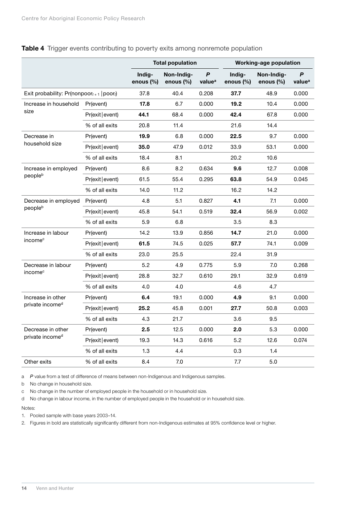|                                                |                |                     | <b>Total population</b>    |                                        |                     | <b>Working-age population</b> |                         |
|------------------------------------------------|----------------|---------------------|----------------------------|----------------------------------------|---------------------|-------------------------------|-------------------------|
|                                                |                | Indig-<br>enous (%) | Non-Indig-<br>enous $(\%)$ | $\boldsymbol{P}$<br>value <sup>a</sup> | Indig-<br>enous (%) | Non-Indig-<br>enous $(\%)$    | P<br>value <sup>a</sup> |
| Exit probability: $Pr(nonpoor_{t+1}   poor_t)$ |                | 37.8                | 40.4                       | 0.208                                  | 37.7                | 48.9                          | 0.000                   |
| Increase in household                          | Pr(event)      | 17.8                | 6.7                        | 0.000                                  | 19.2                | 10.4                          | 0.000                   |
| size                                           | Pr(exit event) | 44.1                | 68.4                       | 0.000                                  | 42.4                | 67.8                          | 0.000                   |
|                                                | % of all exits | 20.8                | 11.4                       |                                        | 21.6                | 14.4                          |                         |
| Decrease in                                    | Pr(event)      | 19.9                | 6.8                        | 0.000                                  | 22.5                | 9.7                           | 0.000                   |
| household size                                 | Pr(exit event) | 35.0                | 47.9                       | 0.012                                  | 33.9                | 53.1                          | 0.000                   |
|                                                | % of all exits | 18.4                | 8.1                        |                                        | 20.2                | 10.6                          |                         |
| Increase in employed                           | Pr(event)      | 8.6                 | 8.2                        | 0.634                                  | 9.6                 | 12.7                          | 0.008                   |
| peopleb                                        | Pr(exit event) | 61.5                | 55.4                       | 0.295                                  | 63.8                | 54.9                          | 0.045                   |
|                                                | % of all exits | 14.0                | 11.2                       |                                        | 16.2                | 14.2                          |                         |
| Decrease in employed                           | Pr(event)      | 4.8                 | 5.1                        | 0.827                                  | 4.1                 | 7.1                           | 0.000                   |
| peopleb                                        | Pr(exit event) | 45.8                | 54.1                       | 0.519                                  | 32.4                | 56.9                          | 0.002                   |
|                                                | % of all exits | 5.9                 | 6.8                        |                                        | $3.5\,$             | 8.3                           |                         |
| Increase in labour                             | Pr(event)      | 14.2                | 13.9                       | 0.856                                  | 14.7                | 21.0                          | 0.000                   |
| income <sup>c</sup>                            | Pr(exit event) | 61.5                | 74.5                       | 0.025                                  | 57.7                | 74.1                          | 0.009                   |
|                                                | % of all exits | 23.0                | 25.5                       |                                        | 22.4                | 31.9                          |                         |
| Decrease in labour                             | Pr(event)      | 5.2                 | 4.9                        | 0.775                                  | 5.9                 | 7.0                           | 0.268                   |
| income <sup>c</sup>                            | Pr(exit event) | 28.8                | 32.7                       | 0.610                                  | 29.1                | 32.9                          | 0.619                   |
|                                                | % of all exits | 4.0                 | 4.0                        |                                        | 4.6                 | 4.7                           |                         |
| Increase in other                              | Pr(event)      | 6.4                 | 19.1                       | 0.000                                  | 4.9                 | 9.1                           | 0.000                   |
| private income <sup>d</sup>                    | Pr(exit event) | 25.2                | 45.8                       | 0.001                                  | 27.7                | 50.8                          | 0.003                   |
|                                                | % of all exits | 4.3                 | 21.7                       |                                        | 3.6                 | 9.5                           |                         |
| Decrease in other                              | Pr(event)      | 2.5                 | 12.5                       | 0.000                                  | 2.0                 | 5.3                           | 0.000                   |
| private income <sup>d</sup>                    | Pr(exit event) | 19.3                | 14.3                       | 0.616                                  | 5.2                 | 12.6                          | 0.074                   |
|                                                | % of all exits | 1.3                 | 4.4                        |                                        | 0.3                 | 1.4                           |                         |
| Other exits                                    | % of all exits | 8.4                 | 7.0                        |                                        | 7.7                 | $5.0\,$                       |                         |

#### <span id="page-19-0"></span>Table 4 Trigger events contributing to poverty exits among nonremote population

a *P* value from a test of difference of means between non-Indigenous and Indigenous samples.

b No change in household size.

c No change in the number of employed people in the household or in household size.

d No change in labour income, in the number of employed people in the household or in household size.

Notes:

1. Pooled sample with base years 2003–14.

2. Figures in bold are statistically significantly different from non-Indigenous estimates at 95% confidence level or higher.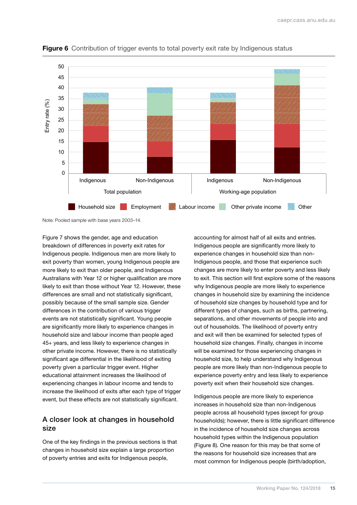

<span id="page-20-0"></span>Figure 6 Contribution of trigger events to total poverty exit rate by Indigenous status

Note: Pooled sample with base years 2003–14.

Figure 7 shows the gender, age and education breakdown of differences in poverty exit rates for Indigenous people. Indigenous men are more likely to exit poverty than women, young Indigenous people are more likely to exit than older people, and Indigenous Australians with Year 12 or higher qualification are more likely to exit than those without Year 12. However, these differences are small and not statistically significant, possibly because of the small sample size. Gender differences in the contribution of various trigger events are not statistically significant. Young people are significantly more likely to experience changes in household size and labour income than people aged 45+ years, and less likely to experience changes in other private income. However, there is no statistically significant age differential in the likelihood of exiting poverty given a particular trigger event. Higher educational attainment increases the likelihood of experiencing changes in labour income and tends to increase the likelihood of exits after each type of trigger event, but these effects are not statistically significant.

#### A closer look at changes in household size

One of the key findings in the previous sections is that changes in household size explain a large proportion of poverty entries and exits for Indigenous people,

accounting for almost half of all exits and entries. Indigenous people are significantly more likely to experience changes in household size than non-Indigenous people, and those that experience such changes are more likely to enter poverty and less likely to exit. This section will first explore some of the reasons why Indigenous people are more likely to experience changes in household size by examining the incidence of household size changes by household type and for different types of changes, such as births, partnering, separations, and other movements of people into and out of households. The likelihood of poverty entry and exit will then be examined for selected types of household size changes. Finally, changes in income will be examined for those experiencing changes in household size, to help understand why Indigenous people are more likely than non-Indigenous people to experience poverty entry and less likely to experience poverty exit when their household size changes.

Indigenous people are more likely to experience increases in household size than non-Indigenous people across all household types (except for group households); however, there is little significant difference in the incidence of household size changes across household types within the Indigenous population (Figure 8). One reason for this may be that some of the reasons for household size increases that are most common for Indigenous people (birth/adoption,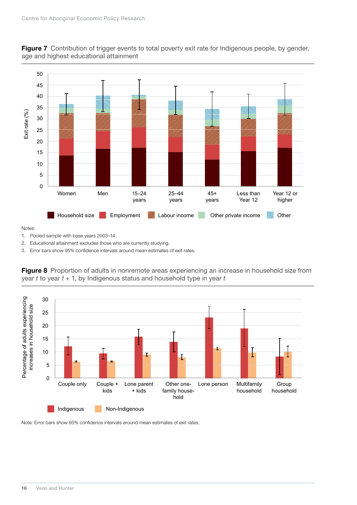

<span id="page-21-0"></span>Figure 7 Contribution of trigger events to total poverty exit rate for Indigenous people, by gender, age and highest educational attainment

Notes:

1. Pooled sample with base years 2003–14.

2. Educational attainment excludes those who are currently studying.

3. Error bars show 95% confidence intervals around mean estimates of exit rates.



**Figure 8** Proportion of adults in nonremote areas experiencing an increase in household size from year *t* to year *t* + 1, by Indigenous status and household type in year *t*

Note: Error bars show 95% confidence intervals around mean estimates of exit rates.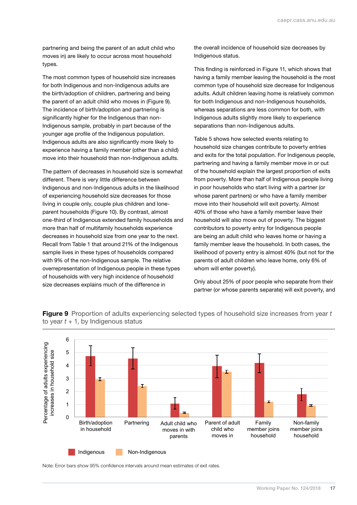<span id="page-22-0"></span>partnering and being the parent of an adult child who moves in) are likely to occur across most household types.

The most common types of household size increases for both Indigenous and non-Indigenous adults are the birth/adoption of children, partnering and being the parent of an adult child who moves in (Figure 9). The incidence of birth/adoption and partnering is significantly higher for the Indigenous than non-Indigenous sample, probably in part because of the younger age profile of the Indigenous population. Indigenous adults are also significantly more likely to experience having a family member (other than a child) move into their household than non-Indigenous adults.

The pattern of decreases in household size is somewhat different. There is very little difference between Indigenous and non-Indigenous adults in the likelihood of experiencing household size decreases for those living in couple only, couple plus children and loneparent households (Figure 10). By contrast, almost one-third of Indigenous extended family households and more than half of multifamily households experience decreases in household size from one year to the next. Recall from Table 1 that around 21% of the Indigenous sample lives in these types of households compared with 9% of the non-Indigenous sample. The relative overrepresentation of Indigenous people in these types of households with very high incidence of household size decreases explains much of the difference in

the overall incidence of household size decreases by Indigenous status.

This finding is reinforced in Figure 11, which shows that having a family member leaving the household is the most common type of household size decrease for Indigenous adults. Adult children leaving home is relatively common for both Indigenous and non-Indigenous households, whereas separations are less common for both, with Indigenous adults slightly more likely to experience separations than non-Indigenous adults.

Table 5 shows how selected events relating to household size changes contribute to poverty entries and exits for the total population. For Indigenous people, partnering and having a family member move in or out of the household explain the largest proportion of exits from poverty. More than half of Indigenous people living in poor households who start living with a partner (or whose parent partners) or who have a family member move into their household will exit poverty. Almost 40% of those who have a family member leave their household will also move out of poverty. The biggest contributors to poverty entry for Indigenous people are being an adult child who leaves home or having a family member leave the household. In both cases, the likelihood of poverty entry is almost 40% (but not for the parents of adult children who leave home, only 6% of whom will enter poverty).

Only about 25% of poor people who separate from their partner (or whose parents separate) will exit poverty, and



Figure 9 Proportion of adults experiencing selected types of household size increases from year *t* to year  $t + 1$ , by Indigenous status

Note: Error bars show 95% confidence intervals around mean estimates of exit rates.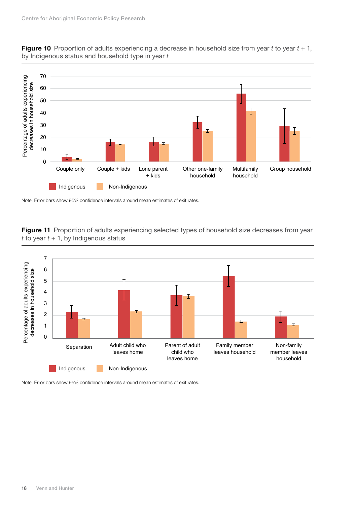

<span id="page-23-0"></span>

Note: Error bars show 95% confidence intervals around mean estimates of exit rates.

Figure 11 Proportion of adults experiencing selected types of household size decreases from year *t* to year  $t + 1$ , by Indigenous status



Note: Error bars show 95% confidence intervals around mean estimates of exit rates.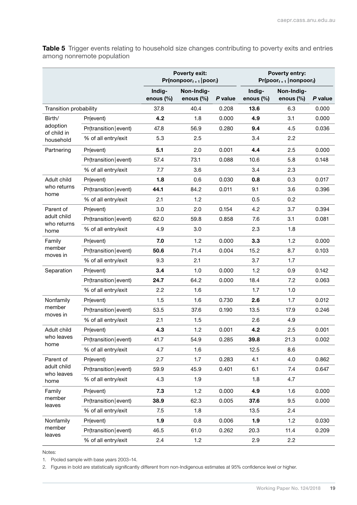<span id="page-24-0"></span>Table 5 Trigger events relating to household size changes contributing to poverty exits and entries among nonremote population

|                                                                                                                          |                        | <b>Poverty exit:</b><br>Poverty entry:<br>$Pr(poor_{t+1}   nonpoor_t)$<br>$Pr(nonpoor_{t+1} poor_t)$ |                         |         |                     |                            |         |
|--------------------------------------------------------------------------------------------------------------------------|------------------------|------------------------------------------------------------------------------------------------------|-------------------------|---------|---------------------|----------------------------|---------|
|                                                                                                                          |                        | Indig-<br>enous (%)                                                                                  | Non-Indig-<br>enous (%) | P value | Indig-<br>enous (%) | Non-Indig-<br>enous $(\%)$ | P value |
| Transition probability                                                                                                   |                        | 37.8                                                                                                 | 40.4                    | 0.208   | 13.6                | 6.3                        | 0.000   |
| Birth/                                                                                                                   | Pr(event)              | 4.2                                                                                                  | 1.8                     | 0.000   | 4.9                 | 3.1                        | 0.000   |
| adoption<br>of child in                                                                                                  | Pr(transition   event) | 47.8                                                                                                 | 56.9                    | 0.280   | 9.4                 | 4.5                        | 0.036   |
| household                                                                                                                | % of all entry/exit    | 5.3                                                                                                  | 2.5                     |         | 3.4                 | 2.2                        |         |
| Partnering                                                                                                               | Pr(event)              | 5.1                                                                                                  | 2.0                     | 0.001   | 4.4                 | 2.5                        | 0.000   |
|                                                                                                                          | Pr(transition   event) | 57.4                                                                                                 | 73.1                    | 0.088   | 10.6                | 5.8                        | 0.148   |
|                                                                                                                          | % of all entry/exit    | 7.7                                                                                                  | 3.6                     |         | 3.4                 | 2.3                        |         |
| Adult child                                                                                                              | Pr(event)              | 1.8                                                                                                  | 0.6                     | 0.030   | 0.8                 | 0.3                        | 0.017   |
| who returns<br>home                                                                                                      | Pr(transition   event) | 44.1                                                                                                 | 84.2                    | 0.011   | 9.1                 | 3.6                        | 0.396   |
|                                                                                                                          | % of all entry/exit    | 2.1                                                                                                  | 1.2                     |         | 0.5                 | 0.2                        |         |
| Parent of                                                                                                                | Pr(event)              | 3.0                                                                                                  | 2.0                     | 0.154   | 4.2                 | 3.7                        | 0.394   |
|                                                                                                                          | Pr(transition   event) | 62.0                                                                                                 | 59.8                    | 0.858   | 7.6                 | 3.1                        | 0.081   |
| home                                                                                                                     | % of all entry/exit    | 4.9                                                                                                  | 3.0                     |         | 2.3                 | 1.8                        |         |
| Family                                                                                                                   | Pr(event)              | 7.0                                                                                                  | 1.2                     | 0.000   | 3.3                 | 1.2                        | 0.000   |
|                                                                                                                          | Pr(transition   event) | 50.6                                                                                                 | 71.4                    | 0.004   | 15.2                | 8.7                        | 0.103   |
|                                                                                                                          | % of all entry/exit    | 9.3                                                                                                  | 2.1                     |         | 3.7                 | 1.7                        |         |
| Separation                                                                                                               | Pr(event)              | 3.4                                                                                                  | 1.0                     | 0.000   | 1.2                 | 0.9                        | 0.142   |
|                                                                                                                          | Pr(transition   event) | 24.7                                                                                                 | 64.2                    | 0.000   | 18.4                | 7.2                        | 0.063   |
|                                                                                                                          | % of all entry/exit    | 2.2                                                                                                  | 1.6                     |         | 1.7                 | 1.0                        |         |
| Nonfamily                                                                                                                | Pr(event)              | 1.5                                                                                                  | 1.6                     | 0.730   | 2.6                 | 1.7                        | 0.012   |
|                                                                                                                          | Pr(transition   event) | 53.5                                                                                                 | 37.6                    | 0.190   | 13.5                | 17.9                       | 0.246   |
| adult child<br>who returns<br>member<br>moves in<br>member<br>moves in<br>Adult child<br>who leaves<br>home<br>Parent of | % of all entry/exit    | 2.1                                                                                                  | 1.5                     |         | 2.6                 | 4.9                        |         |
|                                                                                                                          | Pr(event)              | 4.3                                                                                                  | 1.2                     | 0.001   | 4.2                 | 2.5                        | 0.001   |
|                                                                                                                          | Pr(transition   event) | 41.7                                                                                                 | 54.9                    | 0.285   | 39.8                | 21.3                       | 0.002   |
|                                                                                                                          | % of all entry/exit    | 4.7                                                                                                  | 1.6                     |         | 12.5                | 8.6                        |         |
|                                                                                                                          | Pr(event)              | 2.7                                                                                                  | 1.7                     | 0.283   | 4.1                 | 4.0                        | 0.862   |
| adult child<br>who leaves                                                                                                | Pr(transition   event) | 59.9                                                                                                 | 45.9                    | 0.401   | 6.1                 | 7.4                        | 0.647   |
| home                                                                                                                     | % of all entry/exit    | 4.3                                                                                                  | 1.9                     |         | 1.8                 | 4.7                        |         |
| Family                                                                                                                   | Pr(event)              | 7.3                                                                                                  | 1.2                     | 0.000   | 4.9                 | 1.6                        | 0.000   |
| member<br>leaves                                                                                                         | Pr(transition   event) | 38.9                                                                                                 | 62.3                    | 0.005   | 37.6                | 9.5                        | 0.000   |
|                                                                                                                          | % of all entry/exit    | 7.5                                                                                                  | 1.8                     |         | 13.5                | 2.4                        |         |
| Nonfamily                                                                                                                | Pr(event)              | 1.9                                                                                                  | 0.8                     | 0.006   | 1.9                 | 1.2                        | 0.030   |
| member<br>leaves                                                                                                         | Pr(transition   event) | 46.5                                                                                                 | 61.0                    | 0.262   | 20.3                | 11.4                       | 0.209   |
|                                                                                                                          | % of all entry/exit    | 2.4                                                                                                  | 1.2                     |         | 2.9                 | 2.2                        |         |

Notes:

1. Pooled sample with base years 2003–14.

2. Figures in bold are statistically significantly different from non-Indigenous estimates at 95% confidence level or higher.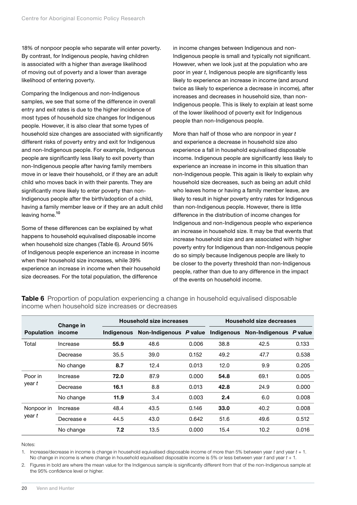<span id="page-25-0"></span>18% of nonpoor people who separate will enter poverty. By contrast, for Indigenous people, having children is associated with a higher than average likelihood of moving out of poverty and a lower than average likelihood of entering poverty.

Comparing the Indigenous and non-Indigenous samples, we see that some of the difference in overall entry and exit rates is due to the higher incidence of most types of household size changes for Indigenous people. However, it is also clear that some types of household size changes are associated with significantly different risks of poverty entry and exit for Indigenous and non-Indigenous people. For example, Indigenous people are significantly less likely to exit poverty than non-Indigenous people after having family members move in or leave their household, or if they are an adult child who moves back in with their parents. They are significantly more likely to enter poverty than non-Indigenous people after the birth/adoption of a child, having a family member leave or if they are an adult child leaving home.<sup>[10](#page-30-9)</sup>

Some of these differences can be explained by what happens to household equivalised disposable income when household size changes (Table 6). Around 56% of Indigenous people experience an increase in income when their household size increases, while 39% experience an increase in income when their household size decreases. For the total population, the difference

in income changes between Indigenous and non-Indigenous people is small and typically not significant. However, when we look just at the population who are poor in year *t*, Indigenous people are significantly less likely to experience an increase in income (and around twice as likely to experience a decrease in income), after increases and decreases in household size, than non-Indigenous people. This is likely to explain at least some of the lower likelihood of poverty exit for Indigenous people than non-Indigenous people.

More than half of those who are nonpoor in year *t* and experience a decrease in household size also experience a fall in household equivalised disposable income. Indigenous people are significantly less likely to experience an increase in income in this situation than non-Indigenous people. This again is likely to explain why household size decreases, such as being an adult child who leaves home or having a family member leave, are likely to result in higher poverty entry rates for Indigenous than non-Indigenous people. However, there is little difference in the distribution of income changes for Indigenous and non-Indigenous people who experience an increase in household size. It may be that events that increase household size and are associated with higher poverty entry for Indigenous than non-Indigenous people do so simply because Indigenous people are likely to be closer to the poverty threshold than non-Indigenous people, rather than due to any difference in the impact of the events on household income.

|                   | Change in  |                   | <b>Household size increases</b> |       | <b>Household size decreases</b> |                                   |       |  |
|-------------------|------------|-------------------|---------------------------------|-------|---------------------------------|-----------------------------------|-------|--|
| <b>Population</b> | income     | <b>Indigenous</b> | Non-Indigenous P value          |       |                                 | Indigenous Non-Indigenous P value |       |  |
| Total             | Increase   | 55.9              | 48.6                            | 0.006 | 38.8                            | 42.5                              | 0.133 |  |
|                   | Decrease   | 35.5              | 39.0                            | 0.152 | 49.2                            | 47.7                              | 0.538 |  |
|                   | No change  | 8.7               | 12.4                            | 0.013 | 12.0                            | 9.9                               | 0.205 |  |
| Poor in<br>year t | Increase   | 72.0              | 87.9                            | 0.000 | 54.8                            | 69.1                              | 0.005 |  |
|                   | Decrease   | 16.1              | 8.8                             | 0.013 | 42.8                            | 24.9                              | 0.000 |  |
|                   | No change  | 11.9              | 3.4                             | 0.003 | 2.4                             | 6.0                               | 0.008 |  |
| Nonpoor in        | Increase   | 48.4              | 43.5                            | 0.146 | 33.0                            | 40.2                              | 0.008 |  |
| year t            | Decrease e | 44.5              | 43.0                            | 0.642 | 51.6                            | 49.6                              | 0.512 |  |
|                   | No change  | 7.2               | 13.5                            | 0.000 | 15.4                            | 10.2                              | 0.016 |  |

Table 6 Proportion of population experiencing a change in household equivalised disposable income when household size increases or decreases

Notes<sup>.</sup>

1. Increase/decrease in income is change in household equivalised disposable income of more than 5% between year *t* and year *t* + 1. No change in income is where change in household equivalised disposable income is 5% or less between year *t* and year *t* + 1.

2. Figures in bold are where the mean value for the Indigenous sample is significantly different from that of the non-Indigenous sample at the 95% confidence level or higher.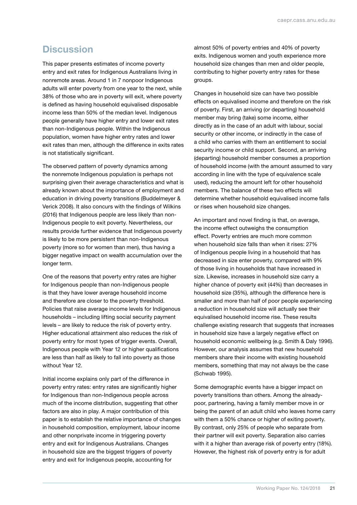# <span id="page-26-0"></span>**Discussion**

This paper presents estimates of income poverty entry and exit rates for Indigenous Australians living in nonremote areas. Around 1 in 7 nonpoor Indigenous adults will enter poverty from one year to the next, while 38% of those who are in poverty will exit, where poverty is defined as having household equivalised disposable income less than 50% of the median level. Indigenous people generally have higher entry and lower exit rates than non-Indigenous people. Within the Indigenous population, women have higher entry rates and lower exit rates than men, although the difference in exits rates is not statistically significant.

The observed pattern of poverty dynamics among the nonremote Indigenous population is perhaps not surprising given their average characteristics and what is already known about the importance of employment and education in driving poverty transitions (Buddelmeyer & Verick 2008). It also concurs with the findings of Wilkins (2016) that Indigenous people are less likely than non-Indigenous people to exit poverty. Nevertheless, our results provide further evidence that Indigenous poverty is likely to be more persistent than non-Indigenous poverty (more so for women than men), thus having a bigger negative impact on wealth accumulation over the longer term.

One of the reasons that poverty entry rates are higher for Indigenous people than non-Indigenous people is that they have lower average household income and therefore are closer to the poverty threshold. Policies that raise average income levels for Indigenous households – including lifting social security payment levels – are likely to reduce the risk of poverty entry. Higher educational attainment also reduces the risk of poverty entry for most types of trigger events. Overall, Indigenous people with Year 12 or higher qualifications are less than half as likely to fall into poverty as those without Year 12.

Initial income explains only part of the difference in poverty entry rates: entry rates are significantly higher for Indigenous than non-Indigenous people across much of the income distribution, suggesting that other factors are also in play. A major contribution of this paper is to establish the relative importance of changes in household composition, employment, labour income and other nonprivate income in triggering poverty entry and exit for Indigenous Australians. Changes in household size are the biggest triggers of poverty entry and exit for Indigenous people, accounting for

almost 50% of poverty entries and 40% of poverty exits. Indigenous women and youth experience more household size changes than men and older people, contributing to higher poverty entry rates for these groups.

Changes in household size can have two possible effects on equivalised income and therefore on the risk of poverty. First, an arriving (or departing) household member may bring (take) some income, either directly as in the case of an adult with labour, social security or other income, or indirectly in the case of a child who carries with them an entitlement to social security income or child support. Second, an arriving (departing) household member consumes a proportion of household income (with the amount assumed to vary according in line with the type of equivalence scale used), reducing the amount left for other household members. The balance of these two effects will determine whether household equivalised income falls or rises when household size changes.

An important and novel finding is that, on average, the income effect outweighs the consumption effect. Poverty entries are much more common when household size falls than when it rises: 27% of Indigenous people living in a household that has decreased in size enter poverty, compared with 9% of those living in households that have increased in size. Likewise, increases in household size carry a higher chance of poverty exit (44%) than decreases in household size (35%), although the difference here is smaller and more than half of poor people experiencing a reduction in household size will actually see their equivalised household income rise. These results challenge existing research that suggests that increases in household size have a largely negative effect on household economic wellbeing (e.g. Smith & Daly 1996). However, our analysis assumes that new household members share their income with existing household members, something that may not always be the case (Schwab 1995).

Some demographic events have a bigger impact on poverty transitions than others. Among the alreadypoor, partnering, having a family member move in or being the parent of an adult child who leaves home carry with them a 50% chance or higher of exiting poverty. By contrast, only 25% of people who separate from their partner will exit poverty. Separation also carries with it a higher than average risk of poverty entry (18%). However, the highest risk of poverty entry is for adult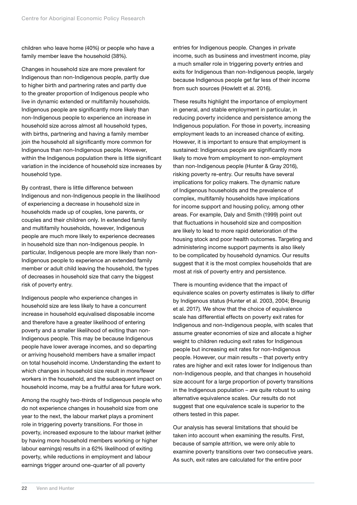children who leave home (40%) or people who have a family member leave the household (38%).

Changes in household size are more prevalent for Indigenous than non-Indigenous people, partly due to higher birth and partnering rates and partly due to the greater proportion of Indigenous people who live in dynamic extended or multifamily households. Indigenous people are significantly more likely than non-Indigenous people to experience an increase in household size across almost all household types, with births, partnering and having a family member join the household all significantly more common for Indigenous than non-Indigenous people. However, within the Indigenous population there is little significant variation in the incidence of household size increases by household type.

By contrast, there is little difference between Indigenous and non-Indigenous people in the likelihood of experiencing a decrease in household size in households made up of couples, lone parents, or couples and their children only. In extended family and multifamily households, however, Indigenous people are much more likely to experience decreases in household size than non-Indigenous people. In particular, Indigenous people are more likely than non-Indigenous people to experience an extended family member or adult child leaving the household, the types of decreases in household size that carry the biggest risk of poverty entry.

Indigenous people who experience changes in household size are less likely to have a concurrent increase in household equivalised disposable income and therefore have a greater likelihood of entering poverty and a smaller likelihood of exiting than non-Indigenous people. This may be because Indigenous people have lower average incomes, and so departing or arriving household members have a smaller impact on total household income. Understanding the extent to which changes in household size result in more/fewer workers in the household, and the subsequent impact on household income, may be a fruitful area for future work.

Among the roughly two-thirds of Indigenous people who do not experience changes in household size from one year to the next, the labour market plays a prominent role in triggering poverty transitions. For those in poverty, increased exposure to the labour market (either by having more household members working or higher labour earnings) results in a 62% likelihood of exiting poverty, while reductions in employment and labour earnings trigger around one-quarter of all poverty

entries for Indigenous people. Changes in private income, such as business and investment income, play a much smaller role in triggering poverty entries and exits for Indigenous than non-Indigenous people, largely because Indigenous people get far less of their income from such sources (Howlett et al. 2016).

These results highlight the importance of employment in general, and stable employment in particular, in reducing poverty incidence and persistence among the Indigenous population. For those in poverty, increasing employment leads to an increased chance of exiting. However, it is important to ensure that employment is sustained: Indigenous people are significantly more likely to move from employment to non-employment than non-Indigenous people (Hunter & Gray 2016), risking poverty re-entry. Our results have several implications for policy makers. The dynamic nature of Indigenous households and the prevalence of complex, multifamily households have implications for income support and housing policy, among other areas. For example, Daly and Smith (1999) point out that fluctuations in household size and composition are likely to lead to more rapid deterioration of the housing stock and poor health outcomes. Targeting and administering income support payments is also likely to be complicated by household dynamics. Our results suggest that it is the most complex households that are most at risk of poverty entry and persistence.

There is mounting evidence that the impact of equivalence scales on poverty estimates is likely to differ by Indigenous status (Hunter et al. 2003, 2004; Breunig et al. 2017). We show that the choice of equivalence scale has differential effects on poverty exit rates for Indigenous and non-Indigenous people, with scales that assume greater economies of size and allocate a higher weight to children reducing exit rates for Indigenous people but increasing exit rates for non-Indigenous people. However, our main results – that poverty entry rates are higher and exit rates lower for Indigenous than non-Indigenous people, and that changes in household size account for a large proportion of poverty transitions in the Indigenous population – are quite robust to using alternative equivalence scales. Our results do not suggest that one equivalence scale is superior to the others tested in this paper.

Our analysis has several limitations that should be taken into account when examining the results. First, because of sample attrition, we were only able to examine poverty transitions over two consecutive years. As such, exit rates are calculated for the entire poor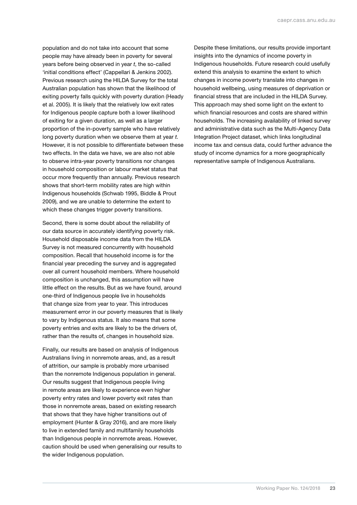population and do not take into account that some people may have already been in poverty for several years before being observed in year *t*, the so-called 'initial conditions effect' (Cappellari & Jenkins 2002). Previous research using the HILDA Survey for the total Australian population has shown that the likelihood of exiting poverty falls quickly with poverty duration (Heady et al. 2005). It is likely that the relatively low exit rates for Indigenous people capture both a lower likelihood of exiting for a given duration, as well as a larger proportion of the in-poverty sample who have relatively long poverty duration when we observe them at year *t*. However, it is not possible to differentiate between these two effects. In the data we have, we are also not able to observe intra-year poverty transitions nor changes in household composition or labour market status that occur more frequently than annually. Previous research shows that short-term mobility rates are high within Indigenous households (Schwab 1995, Biddle & Prout 2009), and we are unable to determine the extent to which these changes trigger poverty transitions.

Second, there is some doubt about the reliability of our data source in accurately identifying poverty risk. Household disposable income data from the HILDA Survey is not measured concurrently with household composition. Recall that household income is for the financial year preceding the survey and is aggregated over all current household members. Where household composition is unchanged, this assumption will have little effect on the results. But as we have found, around one-third of Indigenous people live in households that change size from year to year. This introduces measurement error in our poverty measures that is likely to vary by Indigenous status. It also means that some poverty entries and exits are likely to be the drivers of, rather than the results of, changes in household size.

Finally, our results are based on analysis of Indigenous Australians living in nonremote areas, and, as a result of attrition, our sample is probably more urbanised than the nonremote Indigenous population in general. Our results suggest that Indigenous people living in remote areas are likely to experience even higher poverty entry rates and lower poverty exit rates than those in nonremote areas, based on existing research that shows that they have higher transitions out of employment (Hunter & Gray 2016), and are more likely to live in extended family and multifamily households than Indigenous people in nonremote areas. However, caution should be used when generalising our results to the wider Indigenous population.

Despite these limitations, our results provide important insights into the dynamics of income poverty in Indigenous households. Future research could usefully extend this analysis to examine the extent to which changes in income poverty translate into changes in household wellbeing, using measures of deprivation or financial stress that are included in the HILDA Survey. This approach may shed some light on the extent to which financial resources and costs are shared within households. The increasing availability of linked survey and administrative data such as the Multi-Agency Data Integration Project dataset, which links longitudinal income tax and census data, could further advance the study of income dynamics for a more geographically representative sample of Indigenous Australians.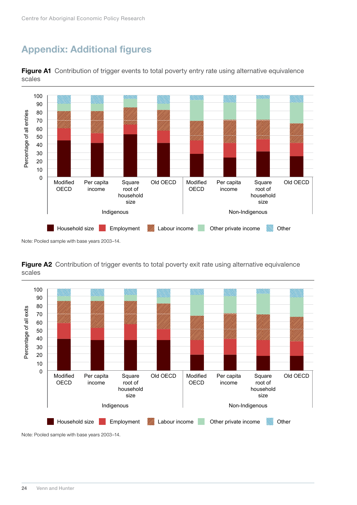# <span id="page-29-0"></span>Appendix: Additional figures



Figure A1 Contribution of trigger events to total poverty entry rate using alternative equivalence scales

Note: Pooled sample with base years 2003–14.





Note: Pooled sample with base years 2003–14.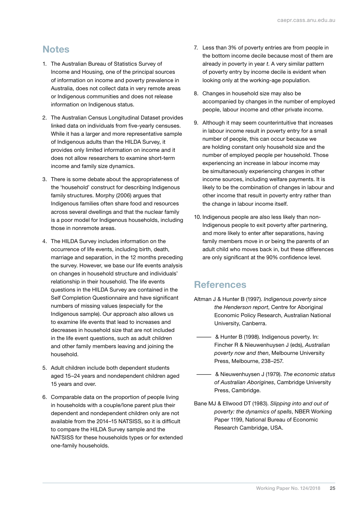# <span id="page-30-0"></span>**Notes**

- 1. The Australian Bureau of Statistics Survey of Income and Housing, one of the principal sources of information on income and poverty prevalence in Australia, does not collect data in very remote areas or Indigenous communities and does not release information on Indigenous status.
- <span id="page-30-1"></span>2. The Australian Census Longitudinal Dataset provides linked data on individuals from five-yearly censuses. While it has a larger and more representative sample of Indigenous adults than the HILDA Survey, it provides only limited information on income and it does not allow researchers to examine short-term income and family size dynamics.
- <span id="page-30-2"></span>3. There is some debate about the appropriateness of the 'household' construct for describing Indigenous family structures. Morphy (2006) argues that Indigenous families often share food and resources across several dwellings and that the nuclear family is a poor model for Indigenous households, including those in nonremote areas.
- <span id="page-30-3"></span>4. The HILDA Survey includes information on the occurrence of life events, including birth, death, marriage and separation, in the 12 months preceding the survey. However, we base our life events analysis on changes in household structure and individuals' relationship in their household. The life events questions in the HILDA Survey are contained in the Self Completion Questionnaire and have significant numbers of missing values (especially for the Indigenous sample). Our approach also allows us to examine life events that lead to increases and decreases in household size that are not included in the life event questions, such as adult children and other family members leaving and joining the household.
- <span id="page-30-4"></span>5. Adult children include both dependent students aged 15–24 years and nondependent children aged 15 years and over.
- <span id="page-30-5"></span>6. Comparable data on the proportion of people living in households with a couple/lone parent plus their dependent and nondependent children only are not available from the 2014–15 NATSISS, so it is difficult to compare the HILDA Survey sample and the NATSISS for these households types or for extended one-family households.
- <span id="page-30-6"></span>7. Less than 3% of poverty entries are from people in the bottom income decile because most of them are already in poverty in year *t*. A very similar pattern of poverty entry by income decile is evident when looking only at the working-age population.
- <span id="page-30-7"></span>8. Changes in household size may also be accompanied by changes in the number of employed people, labour income and other private income.
- <span id="page-30-8"></span>9. Although it may seem counterintuitive that increases in labour income result in poverty entry for a small number of people, this can occur because we are holding constant only household size and the number of employed people per household. Those experiencing an increase in labour income may be simultaneously experiencing changes in other income sources, including welfare payments. It is likely to be the combination of changes in labour and other income that result in poverty entry rather than the change in labour income itself.
- <span id="page-30-9"></span>10. Indigenous people are also less likely than non-Indigenous people to exit poverty after partnering, and more likely to enter after separations, having family members move in or being the parents of an adult child who moves back in, but these differences are only significant at the 90% confidence level.

# **References**

- Altman J & Hunter B (1997). *Indigenous poverty since the Henderson report*, Centre for Aboriginal Economic Policy Research, Australian National University, Canberra.
	- & Hunter B (1998). Indigenous poverty. In: Fincher R & Nieuwenhuysen J (eds), *Australian poverty now and then*, Melbourne University Press, Melbourne, 238–257.
	- & Nieuwenhuysen J (1979). *The economic status of Australian Aborigines*, Cambridge University Press, Cambridge.
- Bane MJ & Ellwood DT (1983). *Slipping into and out of poverty: the dynamics of spells*, NBER Working Paper 1199, National Bureau of Economic Research Cambridge, USA.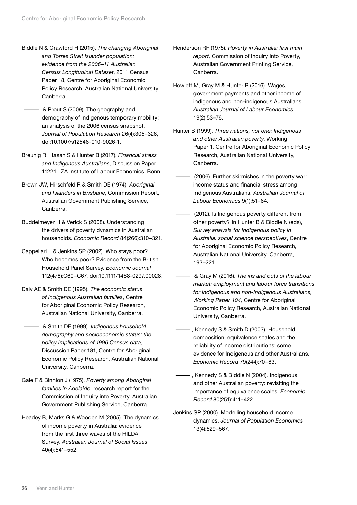- Biddle N & Crawford H (2015). *The changing Aboriginal and Torres Strait Islander population: evidence from the 2006–11 Australian Census Longitudinal Dataset*, 2011 Census Paper 18, Centre for Aboriginal Economic Policy Research, Australian National University, Canberra.
- & Prout S (2009). The geography and demography of Indigenous temporary mobility: an analysis of the 2006 census snapshot. *Journal of Population Research* 26(4):305–326, doi:10.1007/s12546-010-9026-1.
- Breunig R, Hasan S & Hunter B (2017). *Financial stress and Indigenous Australians*, Discussion Paper 11221, IZA Institute of Labour Economics, Bonn.
- Brown JW, Hirschfeld R & Smith DE (1974). *Aboriginal and Islanders in Brisbane*, Commission Report, Australian Government Publishing Service, Canberra.
- Buddelmeyer H & Verick S (2008). Understanding the drivers of poverty dynamics in Australian households. *Economic Record* 84(266):310–321.
- Cappellari L & Jenkins SP (2002). Who stays poor? Who becomes poor? Evidence from the British Household Panel Survey. *Economic Journal* 112(478):C60–C67, doi:10.1111/1468-0297.00028.
- Daly AE & Smith DE (1995). *The economic status of Indigenous Australian families*, Centre for Aboriginal Economic Policy Research, Australian National University, Canberra.
	- & Smith DE (1999). *Indigenous household demography and socioeconomic status: the policy implications of 1996 Census data*, Discussion Paper 181, Centre for Aboriginal Economic Policy Research, Australian National University, Canberra.
- Gale F & Binnion J (1975). *Poverty among Aboriginal families in Adelaide*, research report for the Commission of Inquiry into Poverty, Australian Government Publishing Service, Canberra.
- Headey B, Marks G & Wooden M (2005). The dynamics of income poverty in Australia: evidence from the first three waves of the HILDA Survey. *Australian Journal of Social Issues* 40(4):541–552.
- Henderson RF (1975). *Poverty in Australia: first main report,* Commission of Inquiry into Poverty, Australian Government Printing Service, Canberra.
- Howlett M, Gray M & Hunter B (2016). Wages, government payments and other income of indigenous and non-indigenous Australians. *Australian Journal of Labour Economics* 19(2):53–76.
- Hunter B (1999). *Three nations, not one: Indigenous and other Australian poverty*, Working Paper 1, Centre for Aboriginal Economic Policy Research, Australian National University, Canberra.
	- (2006). Further skirmishes in the poverty war: income status and financial stress among Indigenous Australians. *Australian Journal of Labour Economics* 9(1):51–64.
	- (2012). Is Indigenous poverty different from other poverty? In Hunter B & Biddle N (eds), *Survey analysis for Indigenous policy in Australia: social science perspectives*, Centre for Aboriginal Economic Policy Research, Australian National University, Canberra, 193–221.
	- & Gray M (2016). *The ins and outs of the labour market: employment and labour force transitions for Indigenous and non-Indigenous Australians, Working Paper 104,* Centre for Aboriginal Economic Policy Research, Australian National University, Canberra.
	- —, Kennedy S & Smith D (2003). Household composition, equivalence scales and the reliability of income distributions: some evidence for Indigenous and other Australians. *Economic Record* 79(244):70–83.
	- —, Kennedy S & Biddle N (2004). Indigenous and other Australian poverty: revisiting the importance of equivalence scales. *Economic Record* 80(251):411–422.
- Jenkins SP (2000). Modelling household income dynamics. *Journal of Population Economics* 13(4):529–567.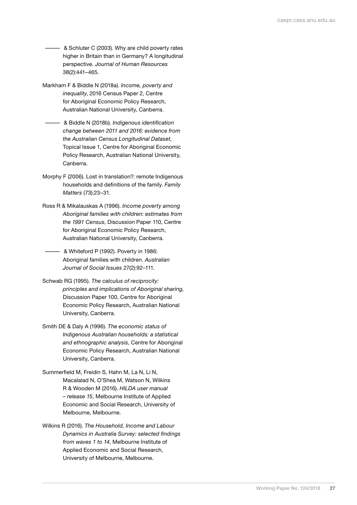**4. • A** Schluter C (2003). Why are child poverty rates higher in Britain than in Germany? A longitudinal perspective. *Journal of Human Resources* 38(2):441–465.

- Markham F & Biddle N (2018a). *Income, poverty and inequality*, 2016 Census Paper 2, Centre for Aboriginal Economic Policy Research, Australian National University, Canberra.
	- & Biddle N (2018b). *Indigenous identification change between 2011 and 2016: evidence from the Australian Census Longitudinal Dataset*, Topical Issue 1, Centre for Aboriginal Economic Policy Research, Australian National University, Canberra.
- Morphy F (2006). Lost in translation?: remote Indigenous households and definitions of the family. *Family Matters* (73):23–31.
- Ross R & Mikalauskas A (1996). *Income poverty among Aboriginal families with children: estimates from the 1991 Census*, Discussion Paper 110, Centre for Aboriginal Economic Policy Research, Australian National University, Canberra.
	- & Whiteford P (1992). Poverty in 1986: Aboriginal families with children. *Australian Journal of Social Issues* 27(2):92–111.
- Schwab RG (1995). *The calculus of reciprocity: principles and implications of Aboriginal sharing*, Discussion Paper 100, Centre for Aboriginal Economic Policy Research, Australian National University, Canberra.
- Smith DE & Daly A (1996). *The economic status of Indigenous Australian households: a statistical and ethnographic analysis*, Centre for Aboriginal Economic Policy Research, Australian National University, Canberra.
- Summerfield M, Freidin S, Hahn M, La N, Li N, Macalalad N, O'Shea M, Watson N, Wilkins R & Wooden M (2016). *HILDA user manual – release 15*, Melbourne Institute of Applied Economic and Social Research, University of Melbourne, Melbourne.
- Wilkins R (2016). *The Household, Income and Labour Dynamics in Australia Survey: selected findings from waves 1 to 14*, Melbourne Institute of Applied Economic and Social Research, University of Melbourne, Melbourne.